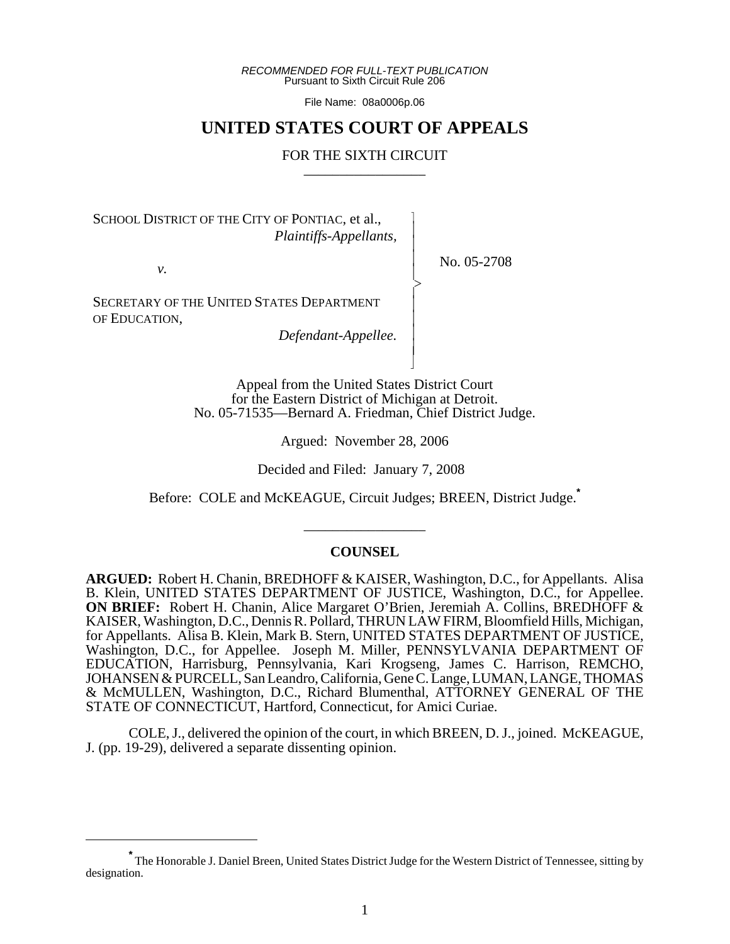*RECOMMENDED FOR FULL-TEXT PUBLICATION* Pursuant to Sixth Circuit Rule 206

File Name: 08a0006p.06

# **UNITED STATES COURT OF APPEALS**

# FOR THE SIXTH CIRCUIT

 $\overline{\phantom{a}}$ - - - -  $\succ$ |<br>|<br>| - - - - N

SCHOOL DISTRICT OF THE CITY OF PONTIAC, et al., *Plaintiffs-Appellants,*

*v.*

No. 05-2708

SECRETARY OF THE UNITED STATES DEPARTMENT OF EDUCATION,

*Defendant-Appellee.*

Appeal from the United States District Court for the Eastern District of Michigan at Detroit. No. 05-71535—Bernard A. Friedman, Chief District Judge.

Argued: November 28, 2006

Decided and Filed: January 7, 2008

Before: COLE and McKEAGUE, Circuit Judges; BREEN, District Judge.**\***

# **COUNSEL**

\_\_\_\_\_\_\_\_\_\_\_\_\_\_\_\_\_

**ARGUED:** Robert H. Chanin, BREDHOFF & KAISER, Washington, D.C., for Appellants. Alisa B. Klein, UNITED STATES DEPARTMENT OF JUSTICE, Washington, D.C., for Appellee. **ON BRIEF:** Robert H. Chanin, Alice Margaret O'Brien, Jeremiah A. Collins, BREDHOFF & KAISER, Washington, D.C., Dennis R. Pollard, THRUN LAW FIRM, Bloomfield Hills, Michigan, for Appellants. Alisa B. Klein, Mark B. Stern, UNITED STATES DEPARTMENT OF JUSTICE, Washington, D.C., for Appellee. Joseph M. Miller, PENNSYLVANIA DEPARTMENT OF EDUCATION, Harrisburg, Pennsylvania, Kari Krogseng, James C. Harrison, REMCHO, JOHANSEN & PURCELL, San Leandro, California, Gene C. Lange, LUMAN, LANGE, THOMAS & McMULLEN, Washington, D.C., Richard Blumenthal, ATTORNEY GENERAL OF THE STATE OF CONNECTICUT, Hartford, Connecticut, for Amici Curiae.

COLE, J., delivered the opinion of the court, in which BREEN, D. J., joined. McKEAGUE, J. (pp. 19-29), delivered a separate dissenting opinion.

**<sup>\*</sup>** The Honorable J. Daniel Breen, United States District Judge for the Western District of Tennessee, sitting by designation.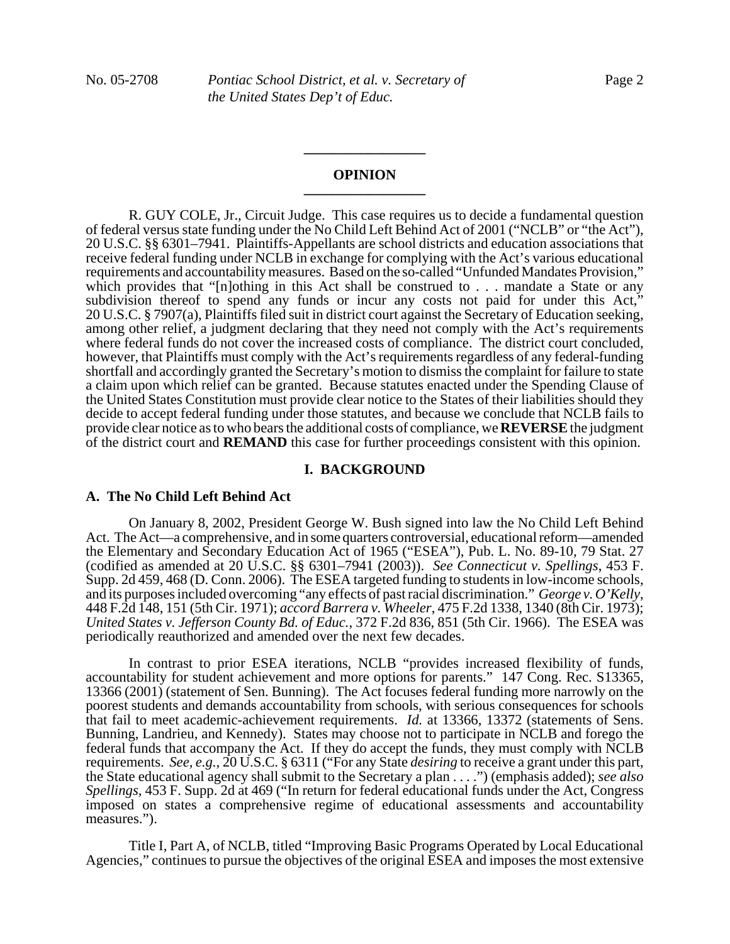#### **OPINION \_\_\_\_\_\_\_\_\_\_\_\_\_\_\_\_\_**

**\_\_\_\_\_\_\_\_\_\_\_\_\_\_\_\_\_**

R. GUY COLE, Jr., Circuit Judge. This case requires us to decide a fundamental question of federal versus state funding under the No Child Left Behind Act of 2001 ("NCLB" or "the Act"), 20 U.S.C. §§ 6301–7941. Plaintiffs-Appellants are school districts and education associations that receive federal funding under NCLB in exchange for complying with the Act's various educational requirements and accountability measures. Based on the so-called "Unfunded Mandates Provision," which provides that "[n]othing in this Act shall be construed to . . . mandate a State or any subdivision thereof to spend any funds or incur any costs not paid for under this Act,<sup>3</sup> 20 U.S.C. § 7907(a), Plaintiffs filed suit in district court against the Secretary of Education seeking, among other relief, a judgment declaring that they need not comply with the Act's requirements where federal funds do not cover the increased costs of compliance. The district court concluded, however, that Plaintiffs must comply with the Act's requirements regardless of any federal-funding shortfall and accordingly granted the Secretary's motion to dismiss the complaint for failure to state a claim upon which relief can be granted. Because statutes enacted under the Spending Clause of the United States Constitution must provide clear notice to the States of their liabilities should they decide to accept federal funding under those statutes, and because we conclude that NCLB fails to provide clear notice as to who bears the additional costs of compliance, we **REVERSE** the judgment of the district court and **REMAND** this case for further proceedings consistent with this opinion.

#### **I. BACKGROUND**

# **A. The No Child Left Behind Act**

On January 8, 2002, President George W. Bush signed into law the No Child Left Behind Act. The Act—a comprehensive, and in some quarters controversial, educational reform—amended the Elementary and Secondary Education Act of 1965 ("ESEA"), Pub. L. No. 89-10, 79 Stat. 27 (codified as amended at 20 U.S.C. §§ 6301–7941 (2003)). *See Connecticut v. Spellings*, 453 F. Supp. 2d 459, 468 (D. Conn. 2006). The ESEA targeted funding to students in low-income schools, and its purposes included overcoming "any effects of past racial discrimination." *George v. O'Kelly*, 448 F.2d 148, 151 (5th Cir. 1971); *accord Barrera v. Wheeler*, 475 F.2d 1338, 1340 (8th Cir. 1973); *United States v. Jefferson County Bd. of Educ.*, 372 F.2d 836, 851 (5th Cir. 1966). The ESEA was periodically reauthorized and amended over the next few decades.

In contrast to prior ESEA iterations, NCLB "provides increased flexibility of funds, accountability for student achievement and more options for parents." 147 Cong. Rec. S13365, 13366 (2001) (statement of Sen. Bunning). The Act focuses federal funding more narrowly on the poorest students and demands accountability from schools, with serious consequences for schools that fail to meet academic-achievement requirements. *Id.* at 13366, 13372 (statements of Sens. Bunning, Landrieu, and Kennedy). States may choose not to participate in NCLB and forego the federal funds that accompany the Act. If they do accept the funds, they must comply with NCLB requirements. *See, e.g.*, 20 U.S.C. § 6311 ("For any State *desiring* to receive a grant under this part, the State educational agency shall submit to the Secretary a plan . . . .") (emphasis added); *see also Spellings*, 453 F. Supp. 2d at 469 ("In return for federal educational funds under the Act, Congress imposed on states a comprehensive regime of educational assessments and accountability measures.").

Title I, Part A, of NCLB, titled "Improving Basic Programs Operated by Local Educational Agencies," continues to pursue the objectives of the original ESEA and imposes the most extensive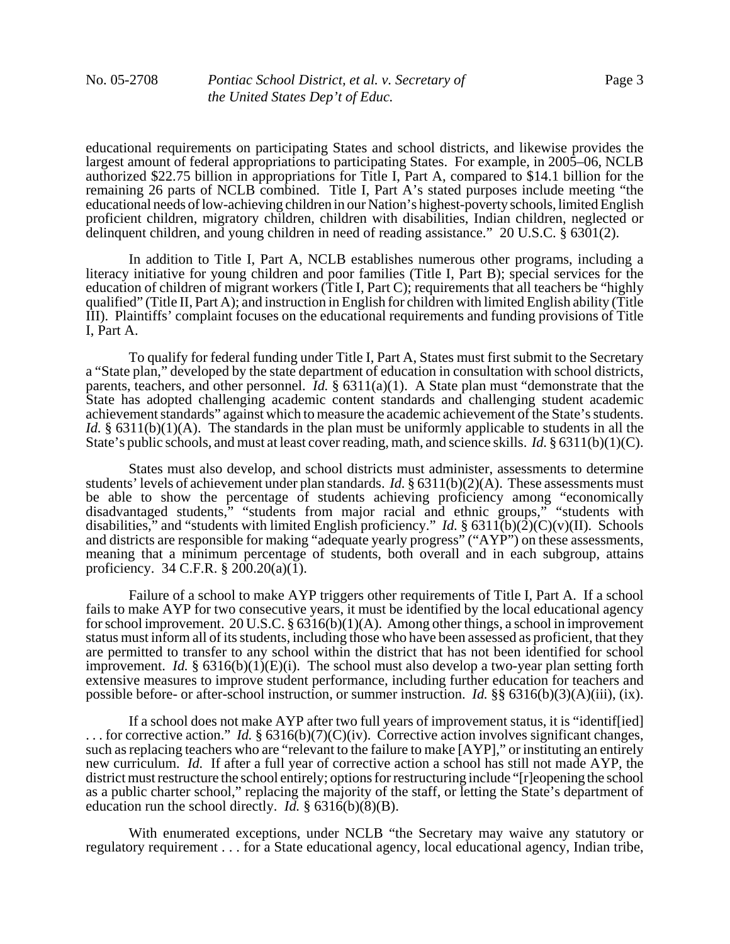educational requirements on participating States and school districts, and likewise provides the largest amount of federal appropriations to participating States. For example, in 2005–06, NCLB authorized \$22.75 billion in appropriations for Title I, Part A, compared to \$14.1 billion for the remaining 26 parts of NCLB combined. Title I, Part A's stated purposes include meeting "the educational needs of low-achieving children in our Nation's highest-poverty schools, limited English proficient children, migratory children, children with disabilities, Indian children, neglected or delinquent children, and young children in need of reading assistance." 20 U.S.C. § 6301(2).

In addition to Title I, Part A, NCLB establishes numerous other programs, including a literacy initiative for young children and poor families (Title I, Part B); special services for the education of children of migrant workers (Title I, Part C); requirements that all teachers be "highly qualified" (Title II, Part A); and instruction in English for children with limited English ability (Title III). Plaintiffs' complaint focuses on the educational requirements and funding provisions of Title I, Part A.

To qualify for federal funding under Title I, Part A, States must first submit to the Secretary a "State plan," developed by the state department of education in consultation with school districts, parents, teachers, and other personnel. *Id.* § 6311(a)(1). A State plan must "demonstrate that the State has adopted challenging academic content standards and challenging student academic achievement standards" against which to measure the academic achievement of the State's students. *Id.* § 6311(b)(1)(A). The standards in the plan must be uniformly applicable to students in all the State's public schools, and must at least cover reading, math, and science skills. *Id.* § 6311(b)(1)(C).

States must also develop, and school districts must administer, assessments to determine students' levels of achievement under plan standards. *Id.* § 6311(b)(2)(A). These assessments must be able to show the percentage of students achieving proficiency among "economically disadvantaged students," "students from major racial and ethnic groups," "students with disabilities," and "students with limited English proficiency." *Id.* § 6311(b)(2)(C)(v)(II). Schools and districts are responsible for making "adequate yearly progress" ("AYP") on these assessments, meaning that a minimum percentage of students, both overall and in each subgroup, attains proficiency. 34 C.F.R.  $\S 200.20(a)(1)$ .

Failure of a school to make AYP triggers other requirements of Title I, Part A. If a school fails to make AYP for two consecutive years, it must be identified by the local educational agency for school improvement. 20 U.S.C. §  $6316(b)(1)(A)$ . Among other things, a school in improvement status must inform all of its students, including those who have been assessed as proficient, that they are permitted to transfer to any school within the district that has not been identified for school improvement. *Id.* § 6316(b)(1)(E)(i). The school must also develop a two-year plan setting forth extensive measures to improve student performance, including further education for teachers and possible before- or after-school instruction, or summer instruction. *Id.* §§ 6316(b)(3)(A)(iii), (ix).

If a school does not make AYP after two full years of improvement status, it is "identif[ied] ... for corrective action." *Id.*  $\S 6316(b)(7)(C)(iv)$ . Corrective action involves significant changes, such as replacing teachers who are "relevant to the failure to make [AYP]," or instituting an entirely new curriculum. *Id.* If after a full year of corrective action a school has still not made AYP, the district must restructure the school entirely; options for restructuring include "[r]eopening the school as a public charter school," replacing the majority of the staff, or letting the State's department of education run the school directly. *Id.* § 6316(b)(8)(B).

With enumerated exceptions, under NCLB "the Secretary may waive any statutory or regulatory requirement . . . for a State educational agency, local educational agency, Indian tribe,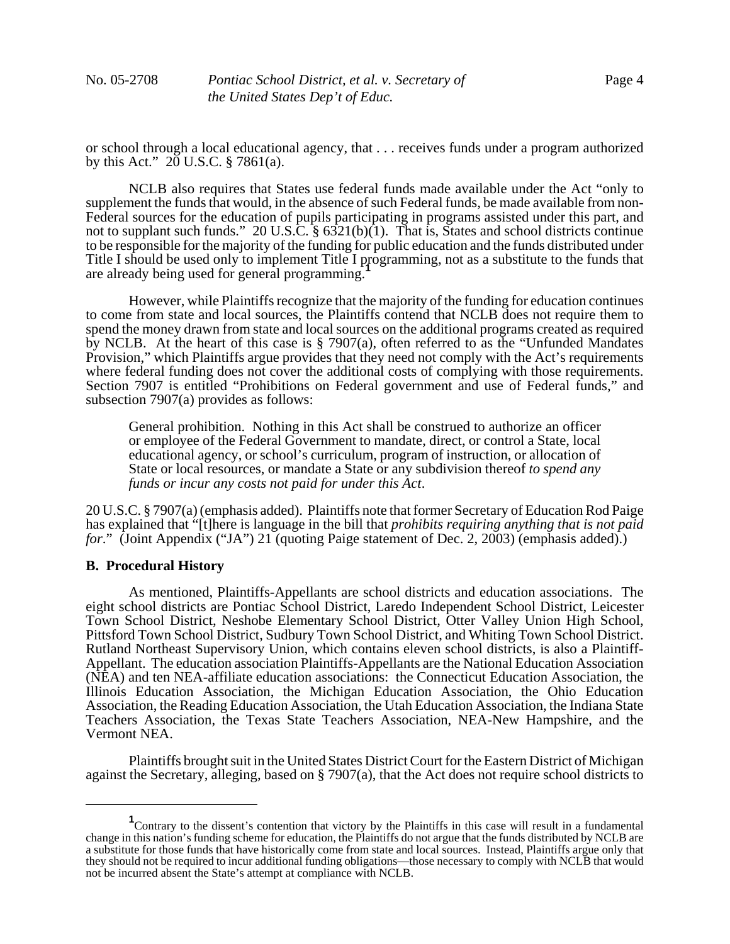or school through a local educational agency, that . . . receives funds under a program authorized by this Act."  $20 \text{ U.S.C. }$  § 7861(a).

NCLB also requires that States use federal funds made available under the Act "only to supplement the funds that would, in the absence of such Federal funds, be made available from non-Federal sources for the education of pupils participating in programs assisted under this part, and not to supplant such funds." 20 U.S.C. § 6321(b)(1). That is, States and school districts continue to be responsible for the majority of the funding for public education and the funds distributed under Title I should be used only to implement Title I programming, not as a substitute to the funds that are already being used for general programming.**<sup>1</sup>**

However, while Plaintiffs recognize that the majority of the funding for education continues to come from state and local sources, the Plaintiffs contend that NCLB does not require them to spend the money drawn from state and local sources on the additional programs created as required by NCLB. At the heart of this case is § 7907(a), often referred to as the "Unfunded Mandates Provision," which Plaintiffs argue provides that they need not comply with the Act's requirements where federal funding does not cover the additional costs of complying with those requirements. Section 7907 is entitled "Prohibitions on Federal government and use of Federal funds," and subsection 7907(a) provides as follows:

General prohibition. Nothing in this Act shall be construed to authorize an officer or employee of the Federal Government to mandate, direct, or control a State, local educational agency, or school's curriculum, program of instruction, or allocation of State or local resources, or mandate a State or any subdivision thereof *to spend any funds or incur any costs not paid for under this Act*.

20 U.S.C. § 7907(a) (emphasis added).Plaintiffs note that former Secretary of Education Rod Paige has explained that "[t]here is language in the bill that *prohibits requiring anything that is not paid for.*" (Joint Appendix ("JA") 21 (quoting Paige statement of Dec. 2, 2003) (emphasis added).)

#### **B. Procedural History**

As mentioned, Plaintiffs-Appellants are school districts and education associations. The eight school districts are Pontiac School District, Laredo Independent School District, Leicester Town School District, Neshobe Elementary School District, Otter Valley Union High School, Pittsford Town School District, Sudbury Town School District, and Whiting Town School District. Rutland Northeast Supervisory Union, which contains eleven school districts, is also a Plaintiff-Appellant. The education association Plaintiffs-Appellants are the National Education Association (NEA) and ten NEA-affiliate education associations: the Connecticut Education Association, the Illinois Education Association, the Michigan Education Association, the Ohio Education Association, the Reading Education Association, the Utah Education Association, the Indiana State Teachers Association, the Texas State Teachers Association, NEA-New Hampshire, and the Vermont NEA.

Plaintiffs brought suit in the United States District Court for the Eastern District of Michigan against the Secretary, alleging, based on § 7907(a), that the Act does not require school districts to

<sup>&</sup>lt;sup>1</sup> Contrary to the dissent's contention that victory by the Plaintiffs in this case will result in a fundamental change in this nation's funding scheme for education, the Plaintiffs do not argue that the funds distributed by NCLB are a substitute for those funds that have historically come from state and local sources. Instead, Plaintiffs argue only that they should not be required to incur additional funding obligations—those necessary to comply with NCLB that would not be incurred absent the State's attempt at compliance with NCLB.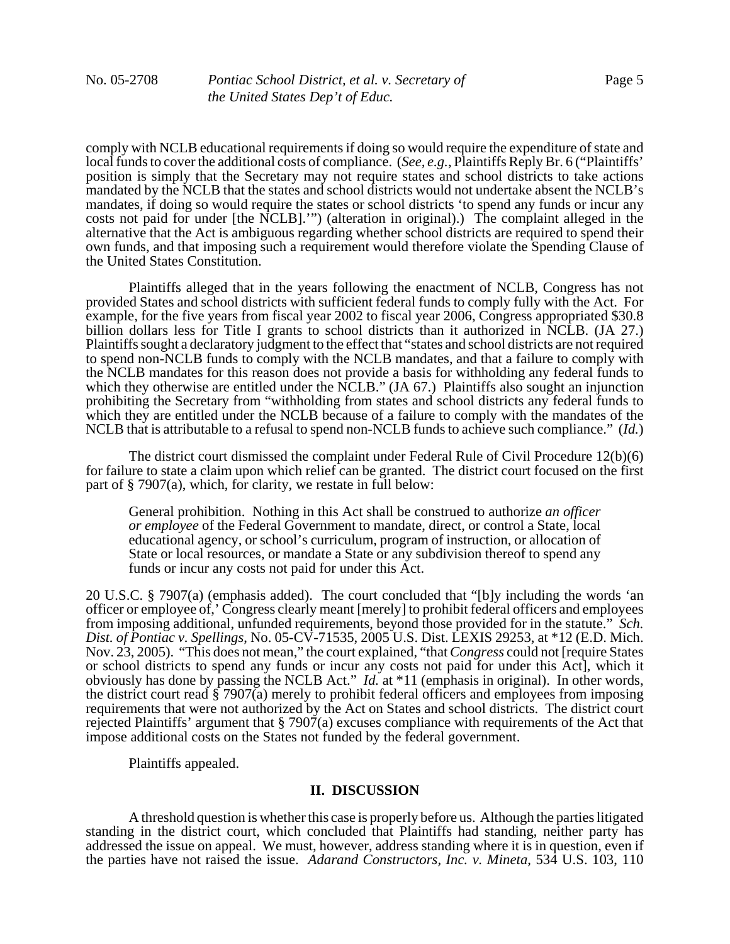comply with NCLB educational requirements if doing so would require the expenditure of state and local funds to cover the additional costs of compliance. (*See, e.g.*, Plaintiffs Reply Br. 6 ("Plaintiffs' position is simply that the Secretary may not require states and school districts to take actions mandated by the NCLB that the states and school districts would not undertake absent the NCLB's mandates, if doing so would require the states or school districts 'to spend any funds or incur any costs not paid for under [the NCLB].'") (alteration in original).) The complaint alleged in the alternative that the Act is ambiguous regarding whether school districts are required to spend their own funds, and that imposing such a requirement would therefore violate the Spending Clause of the United States Constitution.

Plaintiffs alleged that in the years following the enactment of NCLB, Congress has not provided States and school districts with sufficient federal funds to comply fully with the Act. For example, for the five years from fiscal year 2002 to fiscal year 2006, Congress appropriated \$30.8 billion dollars less for Title I grants to school districts than it authorized in NCLB. (JA 27.) Plaintiffs sought a declaratory judgment to the effect that "states and school districts are not required to spend non-NCLB funds to comply with the NCLB mandates, and that a failure to comply with the NCLB mandates for this reason does not provide a basis for withholding any federal funds to which they otherwise are entitled under the NCLB." (JA 67.) Plaintiffs also sought an injunction prohibiting the Secretary from "withholding from states and school districts any federal funds to which they are entitled under the NCLB because of a failure to comply with the mandates of the NCLB that is attributable to a refusal to spend non-NCLB funds to achieve such compliance." (*Id.*)

The district court dismissed the complaint under Federal Rule of Civil Procedure 12(b)(6) for failure to state a claim upon which relief can be granted. The district court focused on the first part of § 7907(a), which, for clarity, we restate in full below:

General prohibition. Nothing in this Act shall be construed to authorize *an officer or employee* of the Federal Government to mandate, direct, or control a State, local educational agency, or school's curriculum, program of instruction, or allocation of State or local resources, or mandate a State or any subdivision thereof to spend any funds or incur any costs not paid for under this Act.

20 U.S.C. § 7907(a) (emphasis added). The court concluded that "[b]y including the words 'an officer or employee of,' Congress clearly meant [merely] to prohibit federal officers and employees from imposing additional, unfunded requirements, beyond those provided for in the statute." *Sch. Dist. of Pontiac v. Spellings*, No. 05-CV-71535, 2005 U.S. Dist. LEXIS 29253, at \*12 (E.D. Mich. Nov. 23, 2005). "This does not mean," the court explained, "that *Congress* could not [require States or school districts to spend any funds or incur any costs not paid for under this Act], which it obviously has done by passing the NCLB Act." *Id.* at \*11 (emphasis in original). In other words, the district court read  $\S$  7907(a) merely to prohibit federal officers and employees from imposing requirements that were not authorized by the Act on States and school districts. The district court rejected Plaintiffs' argument that § 7907(a) excuses compliance with requirements of the Act that impose additional costs on the States not funded by the federal government.

Plaintiffs appealed.

# **II. DISCUSSION**

A threshold question is whether this case is properly before us. Although the parties litigated standing in the district court, which concluded that Plaintiffs had standing, neither party has addressed the issue on appeal. We must, however, address standing where it is in question, even if the parties have not raised the issue. *Adarand Constructors, Inc. v. Mineta*, 534 U.S. 103, 110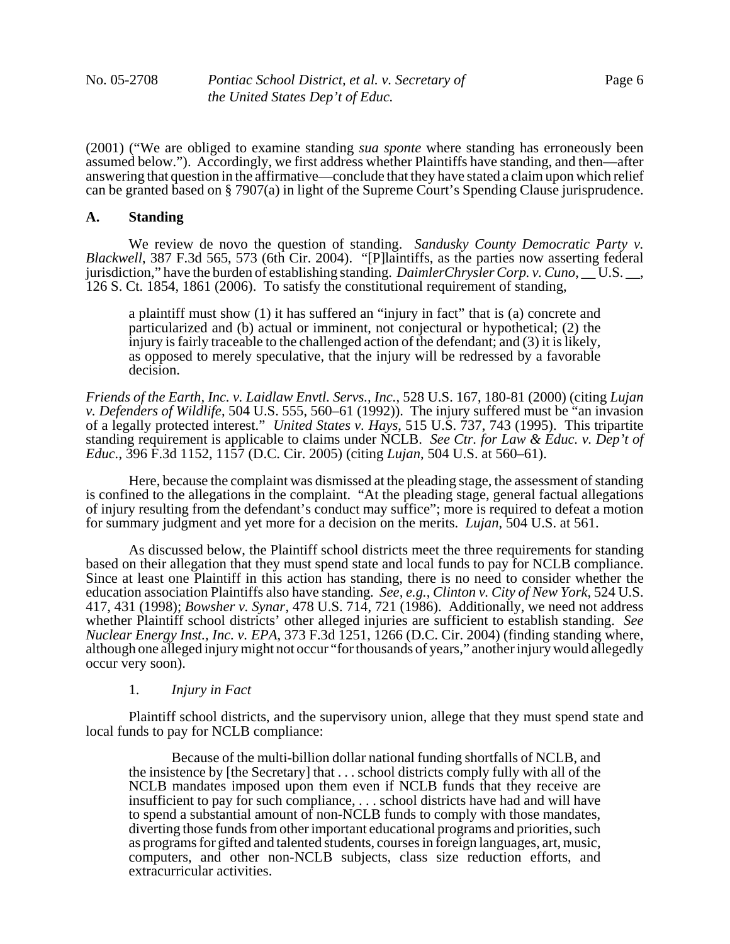(2001) ("We are obliged to examine standing *sua sponte* where standing has erroneously been assumed below.").Accordingly, we first address whether Plaintiffs have standing, and then—after answering that question in the affirmative—conclude that they have stated a claim upon which relief can be granted based on § 7907(a) in light of the Supreme Court's Spending Clause jurisprudence.

### **A. Standing**

We review de novo the question of standing. *Sandusky County Democratic Party v. Blackwell*, 387 F.3d 565, 573 (6th Cir. 2004). "[P]laintiffs, as the parties now asserting federal jurisdiction," have the burden of establishing standing. *DaimlerChrysler Corp. v. Cuno*, U.S. 126 S. Ct. 1854, 1861 (2006). To satisfy the constitutional requirement of standing,

a plaintiff must show (1) it has suffered an "injury in fact" that is (a) concrete and particularized and (b) actual or imminent, not conjectural or hypothetical; (2) the injury is fairly traceable to the challenged action of the defendant; and (3) it is likely, as opposed to merely speculative, that the injury will be redressed by a favorable decision.

*Friends of the Earth, Inc. v. Laidlaw Envtl. Servs., Inc.*, 528 U.S. 167, 180-81 (2000) (citing *Lujan v. Defenders of Wildlife*, 504 U.S. 555, 560–61 (1992)). The injury suffered must be "an invasion of a legally protected interest." *United States v. Hays*, 515 U.S. 737, 743 (1995). This tripartite standing requirement is applicable to claims under NCLB. *See Ctr. for Law & Educ. v. Dep't of Educ.*, 396 F.3d 1152, 1157 (D.C. Cir. 2005) (citing *Lujan*, 504 U.S. at 560–61).

Here, because the complaint was dismissed at the pleading stage, the assessment of standing is confined to the allegations in the complaint. "At the pleading stage, general factual allegations of injury resulting from the defendant's conduct may suffice"; more is required to defeat a motion for summary judgment and yet more for a decision on the merits. *Lujan*, 504 U.S. at 561.

As discussed below, the Plaintiff school districts meet the three requirements for standing based on their allegation that they must spend state and local funds to pay for NCLB compliance. Since at least one Plaintiff in this action has standing, there is no need to consider whether the education association Plaintiffs also have standing*. See, e.g.*, *Clinton v. City of New York*, 524 U.S. 417, 431 (1998); *Bowsher v. Synar*, 478 U.S. 714, 721 (1986). Additionally, we need not address whether Plaintiff school districts' other alleged injuries are sufficient to establish standing. *See Nuclear Energy Inst., Inc. v. EPA*, 373 F.3d 1251, 1266 (D.C. Cir. 2004) (finding standing where, although one alleged injury might not occur "for thousands of years," another injury would allegedly occur very soon).

# 1. *Injury in Fact*

Plaintiff school districts, and the supervisory union, allege that they must spend state and local funds to pay for NCLB compliance:

Because of the multi-billion dollar national funding shortfalls of NCLB, and the insistence by [the Secretary] that . . . school districts comply fully with all of the NCLB mandates imposed upon them even if NCLB funds that they receive are insufficient to pay for such compliance, . . . school districts have had and will have to spend a substantial amount of non-NCLB funds to comply with those mandates, diverting those funds from other important educational programs and priorities, such as programs for gifted and talented students, courses in foreign languages, art, music, computers, and other non-NCLB subjects, class size reduction efforts, and extracurricular activities.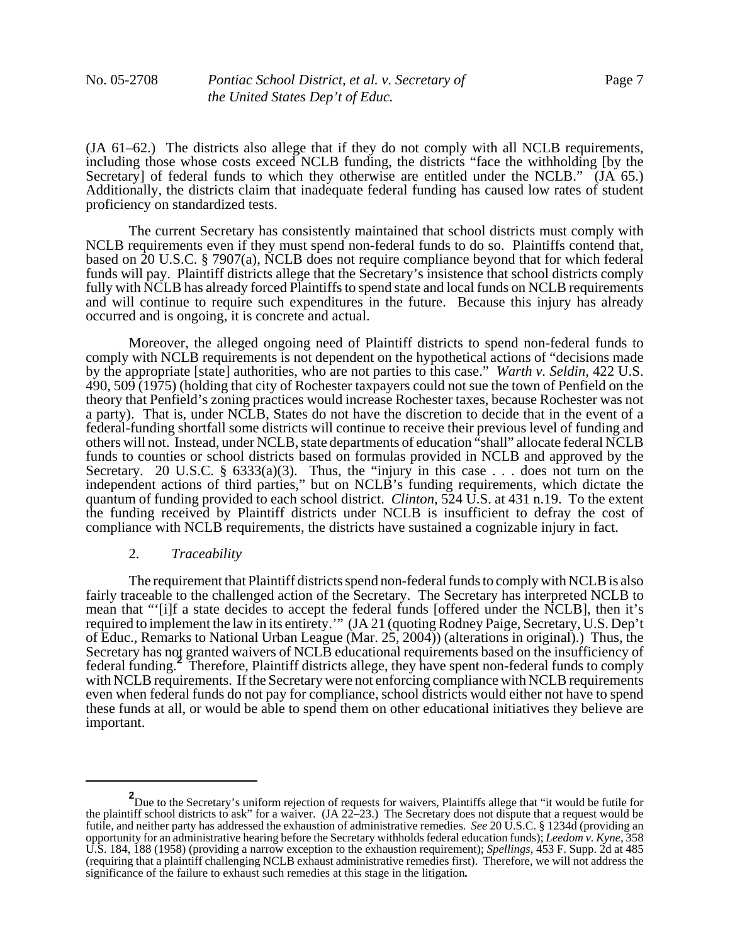(JA 61–62.) The districts also allege that if they do not comply with all NCLB requirements, including those whose costs exceed NCLB funding, the districts "face the withholding [by the Secretary] of federal funds to which they otherwise are entitled under the NCLB." (JA 65.) Additionally, the districts claim that inadequate federal funding has caused low rates of student proficiency on standardized tests.

The current Secretary has consistently maintained that school districts must comply with NCLB requirements even if they must spend non-federal funds to do so. Plaintiffs contend that, based on 20 U.S.C. § 7907(a), NCLB does not require compliance beyond that for which federal funds will pay. Plaintiff districts allege that the Secretary's insistence that school districts comply fully with NCLB has already forced Plaintiffs to spend state and local funds on NCLB requirements and will continue to require such expenditures in the future. Because this injury has already occurred and is ongoing, it is concrete and actual.

Moreover, the alleged ongoing need of Plaintiff districts to spend non-federal funds to comply with NCLB requirements is not dependent on the hypothetical actions of "decisions made by the appropriate [state] authorities, who are not parties to this case." *Warth v. Seldin*, 422 U.S. 490, 509 (1975) (holding that city of Rochester taxpayers could not sue the town of Penfield on the theory that Penfield's zoning practices would increase Rochester taxes, because Rochester was not a party). That is, under NCLB, States do not have the discretion to decide that in the event of a federal-funding shortfall some districts will continue to receive their previous level of funding and others will not. Instead, under NCLB, state departments of education "shall" allocate federal NCLB funds to counties or school districts based on formulas provided in NCLB and approved by the Secretary. 20 U.S.C. §  $6333(a)(3)$ . Thus, the "injury in this case . . . does not turn on the independent actions of third parties," but on NCLB's funding requirements, which dictate the quantum of funding provided to each school district. *Clinton*, 524 U.S. at 431 n.19. To the extent the funding received by Plaintiff districts under NCLB is insufficient to defray the cost of compliance with NCLB requirements, the districts have sustained a cognizable injury in fact.

#### 2. *Traceability*

The requirement that Plaintiff districts spend non-federal funds to comply with NCLB is also fairly traceable to the challenged action of the Secretary. The Secretary has interpreted NCLB to mean that "'[i]f a state decides to accept the federal funds [offered under the NCLB], then it's required to implement the law in its entirety.'" (JA 21 (quoting Rodney Paige, Secretary, U.S. Dep't of Educ., Remarks to National Urban League (Mar. 25, 2004)) (alterations in original).) Thus, the Secretary has not granted waivers of NCLB educational requirements based on the insufficiency of federal funding.**<sup>2</sup>** Therefore, Plaintiff districts allege, they have spent non-federal funds to comply with NCLB requirements. If the Secretary were not enforcing compliance with NCLB requirements even when federal funds do not pay for compliance, school districts would either not have to spend these funds at all, or would be able to spend them on other educational initiatives they believe are important.

**<sup>2</sup>** Due to the Secretary's uniform rejection of requests for waivers, Plaintiffs allege that "it would be futile for the plaintiff school districts to ask" for a waiver.  $(A 22-23)$ . The Secretary does not dispute that a request would be futile, and neither party has addressed the exhaustion of administrative remedies. *See* 20 U.S.C. § 1234d (providing an opportunity for an administrative hearing before the Secretary withholds federal education funds); *Leedom v. Kyne*, 358 U.S. 184, 188 (1958) (providing a narrow exception to the exhaustion requirement); *Spellings*, 453 F. Supp. 2d at 485 (requiring that a plaintiff challenging NCLB exhaust administrative remedies first). Therefore, we will not address the significance of the failure to exhaust such remedies at this stage in the litigation**.**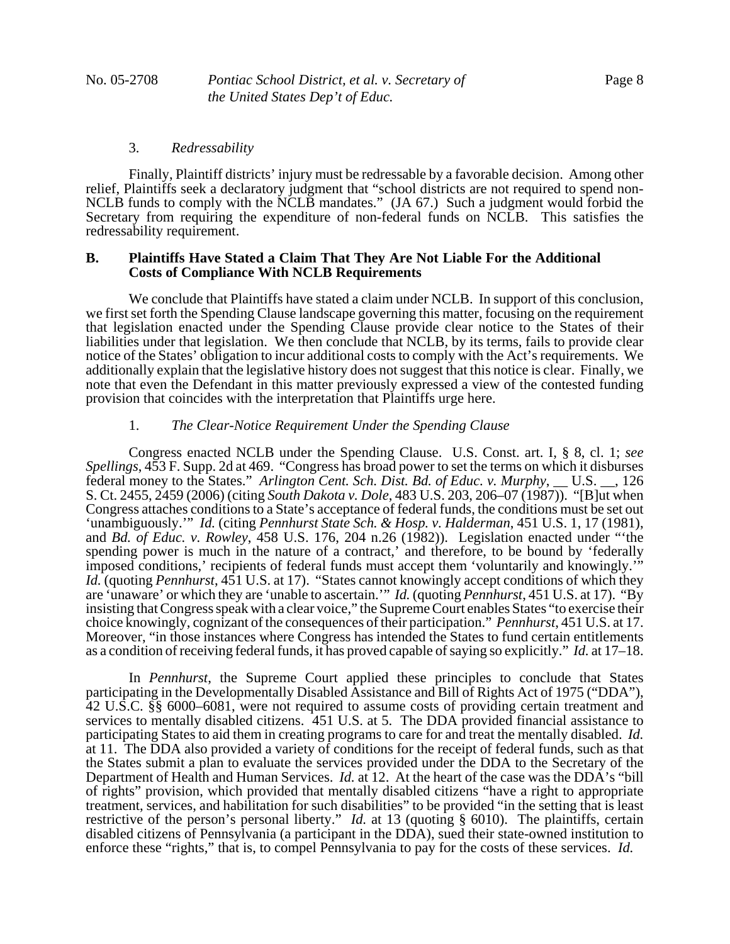#### 3. *Redressability*

Finally, Plaintiff districts' injury must be redressable by a favorable decision. Among other relief, Plaintiffs seek a declaratory judgment that "school districts are not required to spend non-NCLB funds to comply with the NCLB mandates." (JA 67.) Such a judgment would forbid the Secretary from requiring the expenditure of non-federal funds on NCLB. This satisfies the redressability requirement.

# **B. Plaintiffs Have Stated a Claim That They Are Not Liable For the Additional Costs of Compliance With NCLB Requirements**

We conclude that Plaintiffs have stated a claim under NCLB. In support of this conclusion, we first set forth the Spending Clause landscape governing this matter, focusing on the requirement that legislation enacted under the Spending Clause provide clear notice to the States of their liabilities under that legislation. We then conclude that NCLB, by its terms, fails to provide clear notice of the States' obligation to incur additional costs to comply with the Act's requirements. We additionally explain that the legislative history does not suggest that this notice is clear.Finally, we note that even the Defendant in this matter previously expressed a view of the contested funding provision that coincides with the interpretation that Plaintiffs urge here.

# 1. *The Clear-Notice Requirement Under the Spending Clause*

Congress enacted NCLB under the Spending Clause. U.S. Const. art. I, § 8, cl. 1; *see Spellings*, 453 F. Supp. 2d at 469."Congress has broad power to set the terms on which it disburses federal money to the States." *Arlington Cent. Sch. Dist. Bd. of Educ. v. Murphy*, \_\_ U.S. \_\_, 126 S. Ct. 2455, 2459 (2006) (citing *South Dakota v. Dole*, 483 U.S. 203, 206–07 (1987)). "[B]ut when Congress attaches conditions to a State's acceptance of federal funds, the conditions must be set out 'unambiguously.'" *Id.* (citing *Pennhurst State Sch. & Hosp. v. Halderman*, 451 U.S. 1, 17 (1981), and *Bd. of Educ. v. Rowley*, 458 U.S. 176, 204 n.26 (1982)). Legislation enacted under "'the spending power is much in the nature of a contract,' and therefore, to be bound by 'federally imposed conditions,' recipients of federal funds must accept them 'voluntarily and knowingly.' *Id.* (quoting *Pennhurst*, 451 U.S. at 17). "States cannot knowingly accept conditions of which they are 'unaware' or which they are 'unable to ascertain.'"*Id.* (quoting *Pennhurst*, 451 U.S. at 17). "By insisting that Congress speak with a clear voice," the Supreme Court enables States "to exercise their choice knowingly, cognizant of the consequences of their participation." *Pennhurst*, 451 U.S. at 17. Moreover, "in those instances where Congress has intended the States to fund certain entitlements as a condition of receiving federal funds, it has proved capable of saying so explicitly." *Id.* at 17–18.

In *Pennhurst*, the Supreme Court applied these principles to conclude that States participating in the Developmentally Disabled Assistance and Bill of Rights Act of 1975 ("DDA"), 42 U.S.C. §§ 6000–6081, were not required to assume costs of providing certain treatment and services to mentally disabled citizens. 451 U.S. at 5. The DDA provided financial assistance to participating States to aid them in creating programs to care for and treat the mentally disabled. *Id.* at 11. The DDA also provided a variety of conditions for the receipt of federal funds, such as that the States submit a plan to evaluate the services provided under the DDA to the Secretary of the Department of Health and Human Services. *Id.* at 12. At the heart of the case was the DDA's "bill of rights" provision, which provided that mentally disabled citizens "have a right to appropriate treatment, services, and habilitation for such disabilities" to be provided "in the setting that is least restrictive of the person's personal liberty." *Id.* at 13 (quoting § 6010). The plaintiffs, certain disabled citizens of Pennsylvania (a participant in the DDA), sued their state-owned institution to enforce these "rights," that is, to compel Pennsylvania to pay for the costs of these services. *Id.*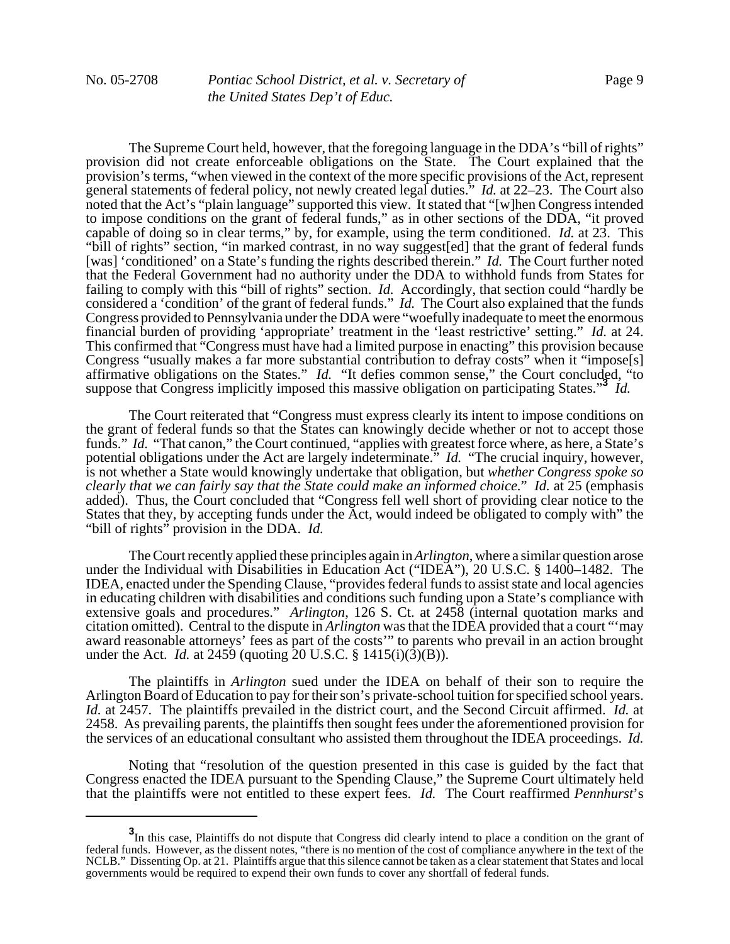The Supreme Court held, however, that the foregoing language in the DDA's "bill of rights" provision did not create enforceable obligations on the State. The Court explained that the provision's terms, "when viewed in the context of the more specific provisions of the Act, represent general statements of federal policy, not newly created legal duties." *Id.* at 22–23. The Court also noted that the Act's "plain language" supported this view. It stated that "[w]hen Congress intended to impose conditions on the grant of federal funds," as in other sections of the DDA, "it proved capable of doing so in clear terms," by, for example, using the term conditioned. *Id.* at 23. This "bill of rights" section, "in marked contrast, in no way suggest[ed] that the grant of federal funds [was] 'conditioned' on a State's funding the rights described therein." *Id.* The Court further noted that the Federal Government had no authority under the DDA to withhold funds from States for failing to comply with this "bill of rights" section. *Id.* Accordingly, that section could "hardly be considered a 'condition' of the grant of federal funds." *Id.* The Court also explained that the funds Congress provided to Pennsylvania under the DDA were "woefully inadequate to meet the enormous financial burden of providing 'appropriate' treatment in the 'least restrictive' setting." *Id.* at 24. This confirmed that "Congress must have had a limited purpose in enacting" this provision because Congress "usually makes a far more substantial contribution to defray costs" when it "impose[s] affirmative obligations on the States." *Id.* "It defies common sense," the Court concluded, "to suppose that Congress implicitly imposed this massive obligation on participating States.<sup>33</sup> *Id.* 

The Court reiterated that "Congress must express clearly its intent to impose conditions on the grant of federal funds so that the States can knowingly decide whether or not to accept those funds." *Id.* "That canon," the Court continued, "applies with greatest force where, as here, a State's potential obligations under the Act are largely indeterminate." *Id.* "The crucial inquiry, however, is not whether a State would knowingly undertake that obligation, but *whether Congress spoke so clearly that we can fairly say that the State could make an informed choice.*" *Id.* at 25 (emphasis added). Thus, the Court concluded that "Congress fell well short of providing clear notice to the States that they, by accepting funds under the Act, would indeed be obligated to comply with" the "bill of rights" provision in the DDA. *Id.*

The Court recently applied these principles again in *Arlington*, where a similar question arose under the Individual with Disabilities in Education Act ("IDEA"), 20 U.S.C. § 1400–1482. The IDEA, enacted under the Spending Clause, "provides federal funds to assist state and local agencies in educating children with disabilities and conditions such funding upon a State's compliance with extensive goals and procedures." *Arlington*, 126 S. Ct. at 2458 (internal quotation marks and citation omitted). Central to the dispute in *Arlington* was that the IDEA provided that a court "'may award reasonable attorneys' fees as part of the costs'" to parents who prevail in an action brought under the Act. *Id.* at 2459 (quoting 20 U.S.C. § 1415(i)(3)(B)).

The plaintiffs in *Arlington* sued under the IDEA on behalf of their son to require the Arlington Board of Education to pay for their son's private-school tuition for specified school years. *Id.* at 2457. The plaintiffs prevailed in the district court, and the Second Circuit affirmed. *Id.* at 2458. As prevailing parents, the plaintiffs then sought fees under the aforementioned provision for the services of an educational consultant who assisted them throughout the IDEA proceedings. *Id.*

Noting that "resolution of the question presented in this case is guided by the fact that Congress enacted the IDEA pursuant to the Spending Clause," the Supreme Court ultimately held that the plaintiffs were not entitled to these expert fees. *Id.* The Court reaffirmed *Pennhurst*'s

**<sup>3</sup>** In this case, Plaintiffs do not dispute that Congress did clearly intend to place a condition on the grant of federal funds. However, as the dissent notes, "there is no mention of the cost of compliance anywhere in the text of the NCLB." Dissenting Op. at 21. Plaintiffs argue that this silence cannot be taken as a clear statement that States and local governments would be required to expend their own funds to cover any shortfall of federal funds.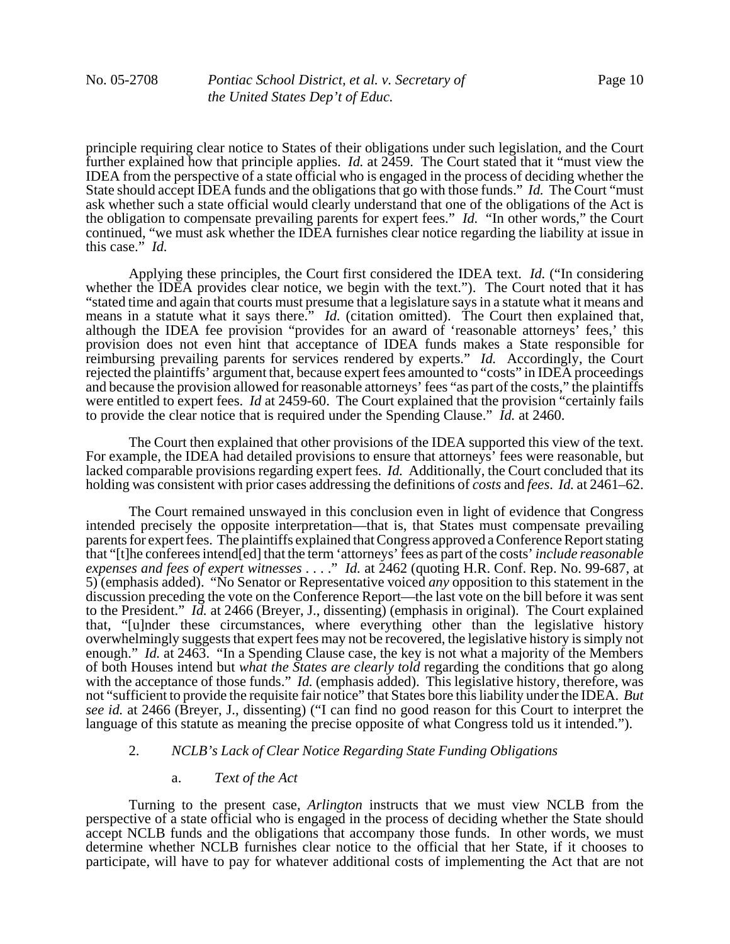principle requiring clear notice to States of their obligations under such legislation, and the Court further explained how that principle applies. *Id.* at 2459. The Court stated that it "must view the IDEA from the perspective of a state official who is engaged in the process of deciding whether the State should accept IDEA funds and the obligations that go with those funds." *Id.* The Court "must ask whether such a state official would clearly understand that one of the obligations of the Act is the obligation to compensate prevailing parents for expert fees." *Id.* "In other words," the Court continued, "we must ask whether the IDEA furnishes clear notice regarding the liability at issue in this case." *Id.*

Applying these principles, the Court first considered the IDEA text. *Id.* ("In considering whether the IDEA provides clear notice, we begin with the text."). The Court noted that it has "stated time and again that courts must presume that a legislature says in a statute what it means and means in a statute what it says there.<sup>"</sup> *Id.* (citation omitted). The Court then explained that, although the IDEA fee provision "provides for an award of 'reasonable attorneys' fees,' this provision does not even hint that acceptance of IDEA funds makes a State responsible for reimbursing prevailing parents for services rendered by experts." *Id.* Accordingly, the Court rejected the plaintiffs' argument that, because expert fees amounted to "costs" in IDEA proceedings and because the provision allowed for reasonable attorneys' fees "as part of the costs," the plaintiffs were entitled to expert fees. *Id* at 2459-60. The Court explained that the provision "certainly fails to provide the clear notice that is required under the Spending Clause." *Id.* at 2460.

The Court then explained that other provisions of the IDEA supported this view of the text. For example, the IDEA had detailed provisions to ensure that attorneys' fees were reasonable, but lacked comparable provisions regarding expert fees. *Id.* Additionally, the Court concluded that its holding was consistent with prior cases addressing the definitions of *costs* and *fees*. *Id.* at 2461–62.

The Court remained unswayed in this conclusion even in light of evidence that Congress intended precisely the opposite interpretation—that is, that States must compensate prevailing parents for expert fees. The plaintiffs explained that Congress approved a Conference Report stating that "[t]he conferees intend[ed] that the term 'attorneys' fees as part of the costs' *include reasonable expenses and fees of expert witnesses* . . . ." *Id.* at 2462 (quoting H.R. Conf. Rep. No. 99-687, at 5) (emphasis added). "No Senator or Representative voiced *any* opposition to this statement in the discussion preceding the vote on the Conference Report—the last vote on the bill before it was sent to the President." *Id.* at 2466 (Breyer, J., dissenting) (emphasis in original). The Court explained that, "[u]nder these circumstances, where everything other than the legislative history overwhelmingly suggests that expert fees may not be recovered, the legislative history is simply not enough." *Id.* at 2463. "In a Spending Clause case, the key is not what a majority of the Members of both Houses intend but *what the States are clearly told* regarding the conditions that go along with the acceptance of those funds." *Id.* (emphasis added). This legislative history, therefore, was not "sufficient to provide the requisite fair notice" that States bore this liability under the IDEA. *But see id.* at 2466 (Breyer, J., dissenting) ("I can find no good reason for this Court to interpret the language of this statute as meaning the precise opposite of what Congress told us it intended.").

### 2. *NCLB's Lack of Clear Notice Regarding State Funding Obligations*

#### a. *Text of the Act*

Turning to the present case, *Arlington* instructs that we must view NCLB from the perspective of a state official who is engaged in the process of deciding whether the State should accept NCLB funds and the obligations that accompany those funds. In other words, we must determine whether NCLB furnishes clear notice to the official that her State, if it chooses to participate, will have to pay for whatever additional costs of implementing the Act that are not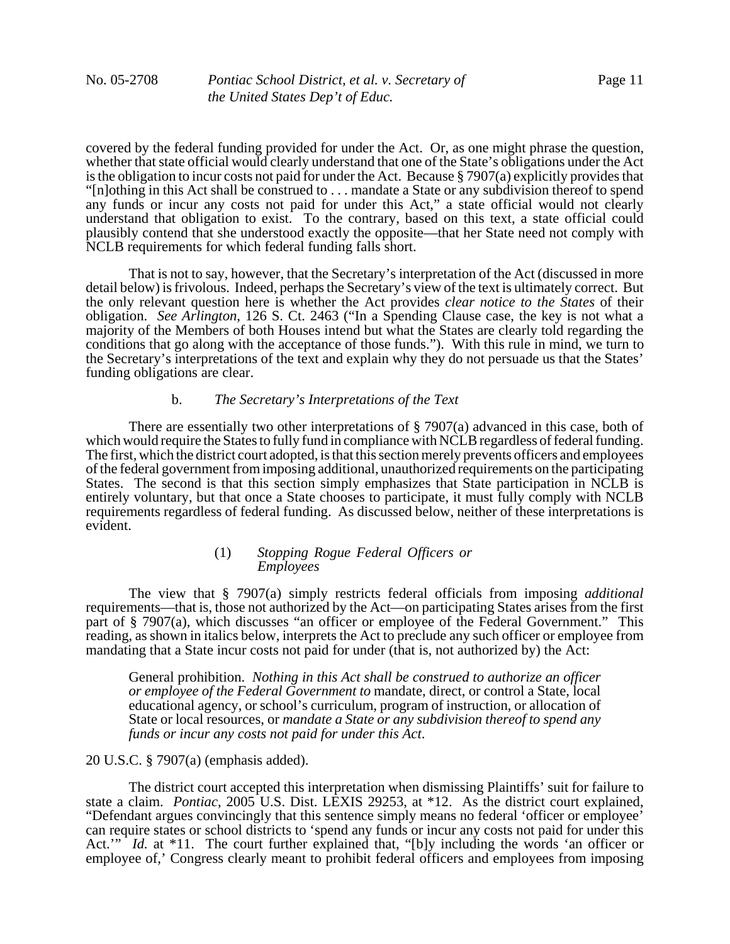covered by the federal funding provided for under the Act. Or, as one might phrase the question, whether that state official would clearly understand that one of the State's obligations under the Act is the obligation to incur costs not paid for under the Act. Because § 7907(a) explicitly provides that "[n]othing in this Act shall be construed to . . . mandate a State or any subdivision thereof to spend any funds or incur any costs not paid for under this Act," a state official would not clearly understand that obligation to exist. To the contrary, based on this text, a state official could plausibly contend that she understood exactly the opposite—that her State need not comply with NCLB requirements for which federal funding falls short.

That is not to say, however, that the Secretary's interpretation of the Act (discussed in more detail below) is frivolous. Indeed, perhaps the Secretary's view of the text is ultimately correct. But the only relevant question here is whether the Act provides *clear notice to the States* of their obligation. *See Arlington*, 126 S. Ct. 2463 ("In a Spending Clause case, the key is not what a majority of the Members of both Houses intend but what the States are clearly told regarding the conditions that go along with the acceptance of those funds."). With this rule in mind, we turn to the Secretary's interpretations of the text and explain why they do not persuade us that the States' funding obligations are clear.

# b. *The Secretary's Interpretations of the Text*

There are essentially two other interpretations of § 7907(a) advanced in this case, both of which would require the States to fully fund in compliance with NCLB regardless of federal funding. The first, which the district court adopted, is that this section merely prevents officers and employees of the federal government from imposing additional, unauthorized requirements on the participating States. The second is that this section simply emphasizes that State participation in NCLB is entirely voluntary, but that once a State chooses to participate, it must fully comply with NCLB requirements regardless of federal funding. As discussed below, neither of these interpretations is evident.

### (1) *Stopping Rogue Federal Officers or Employees*

The view that § 7907(a) simply restricts federal officials from imposing *additional* requirements—that is, those not authorized by the Act—on participating States arises from the first part of § 7907(a), which discusses "an officer or employee of the Federal Government." This reading, as shown in italics below, interprets the Act to preclude any such officer or employee from mandating that a State incur costs not paid for under (that is, not authorized by) the Act:

General prohibition. *Nothing in this Act shall be construed to authorize an officer or employee of the Federal Government to* mandate, direct, or control a State, local educational agency, or school's curriculum, program of instruction, or allocation of State or local resources, or *mandate a State or any subdivision thereof to spend any funds or incur any costs not paid for under this Act*.

20 U.S.C. § 7907(a) (emphasis added).

The district court accepted this interpretation when dismissing Plaintiffs' suit for failure to state a claim. *Pontiac*, 2005 U.S. Dist. LEXIS 29253, at \*12. As the district court explained, "Defendant argues convincingly that this sentence simply means no federal 'officer or employee' can require states or school districts to 'spend any funds or incur any costs not paid for under this Act.'" *Id.* at \*11. The court further explained that, "[b]y including the words 'an officer or employee of,' Congress clearly meant to prohibit federal officers and employees from imposing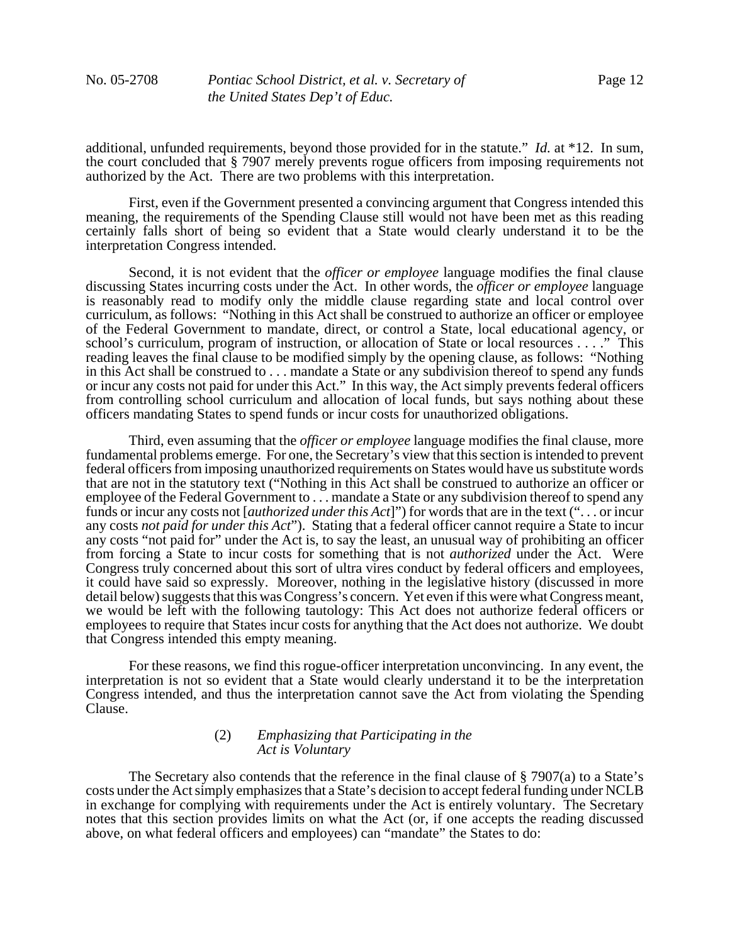additional, unfunded requirements, beyond those provided for in the statute." *Id.* at \*12. In sum, the court concluded that § 7907 merely prevents rogue officers from imposing requirements not authorized by the Act. There are two problems with this interpretation.

First, even if the Government presented a convincing argument that Congress intended this meaning, the requirements of the Spending Clause still would not have been met as this reading certainly falls short of being so evident that a State would clearly understand it to be the interpretation Congress intended.

Second, it is not evident that the *officer or employee* language modifies the final clause discussing States incurring costs under the Act. In other words, the *officer or employee* language is reasonably read to modify only the middle clause regarding state and local control over curriculum, as follows: "Nothing in this Act shall be construed to authorize an officer or employee of the Federal Government to mandate, direct, or control a State, local educational agency, or school's curriculum, program of instruction, or allocation of State or local resources . . . ." This reading leaves the final clause to be modified simply by the opening clause, as follows: "Nothing in this Act shall be construed to . . . mandate a State or any subdivision thereof to spend any funds or incur any costs not paid for under this Act." In this way, the Act simply prevents federal officers from controlling school curriculum and allocation of local funds, but says nothing about these officers mandating States to spend funds or incur costs for unauthorized obligations.

Third, even assuming that the *officer or employee* language modifies the final clause, more fundamental problems emerge. For one, the Secretary's view that this section is intended to prevent federal officers from imposing unauthorized requirements on States would have us substitute words that are not in the statutory text ("Nothing in this Act shall be construed to authorize an officer or employee of the Federal Government to . . . mandate a State or any subdivision thereof to spend any funds or incur any costs not [*authorized under this Act*]") for words that are in the text (". . . or incur any costs *not paid for under this Act*"). Stating that a federal officer cannot require a State to incur any costs "not paid for" under the Act is, to say the least, an unusual way of prohibiting an officer from forcing a State to incur costs for something that is not *authorized* under the Act. Were Congress truly concerned about this sort of ultra vires conduct by federal officers and employees, it could have said so expressly. Moreover, nothing in the legislative history (discussed in more detail below) suggests that this was Congress's concern. Yet even if this were what Congress meant, we would be left with the following tautology: This Act does not authorize federal officers or employees to require that States incur costs for anything that the Act does not authorize. We doubt that Congress intended this empty meaning.

For these reasons, we find this rogue-officer interpretation unconvincing. In any event, the interpretation is not so evident that a State would clearly understand it to be the interpretation Congress intended, and thus the interpretation cannot save the Act from violating the Spending Clause.

### (2) *Emphasizing that Participating in the Act is Voluntary*

The Secretary also contends that the reference in the final clause of  $\S$  7907(a) to a State's costs under the Act simply emphasizes that a State's decision to accept federal funding under NCLB in exchange for complying with requirements under the Act is entirely voluntary. The Secretary notes that this section provides limits on what the Act (or, if one accepts the reading discussed above, on what federal officers and employees) can "mandate" the States to do: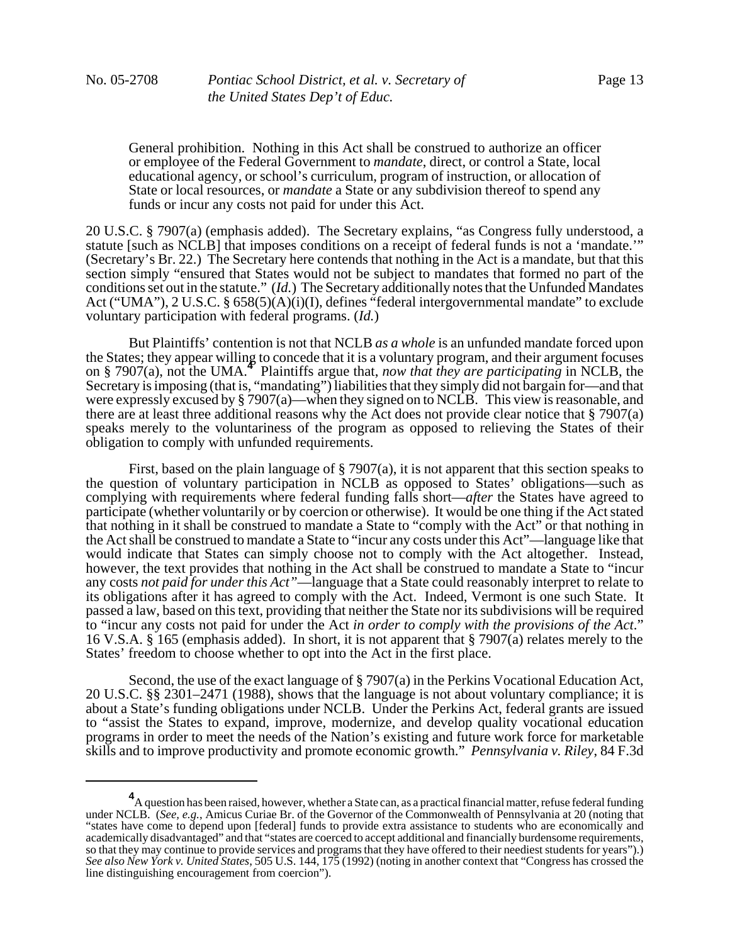General prohibition. Nothing in this Act shall be construed to authorize an officer or employee of the Federal Government to *mandate*, direct, or control a State, local educational agency, or school's curriculum, program of instruction, or allocation of State or local resources, or *mandate* a State or any subdivision thereof to spend any funds or incur any costs not paid for under this Act.

20 U.S.C. § 7907(a) (emphasis added). The Secretary explains, "as Congress fully understood, a statute [such as NCLB] that imposes conditions on a receipt of federal funds is not a 'mandate.'" (Secretary's Br. 22.) The Secretary here contends that nothing in the Act is a mandate, but that this section simply "ensured that States would not be subject to mandates that formed no part of the conditions set out in the statute." (*Id.*) The Secretary additionally notes that the Unfunded Mandates Act ("UMA"), 2 U.S.C. § 658(5)(A)(i)(I), defines "federal intergovernmental mandate" to exclude voluntary participation with federal programs. (*Id.*)

But Plaintiffs' contention is not that NCLB *as a whole* is an unfunded mandate forced upon the States; they appear willing to concede that it is a voluntary program, and their argument focuses on § 7907(a), not the UMA.**<sup>4</sup>** Plaintiffs argue that, *now that they are participating* in NCLB, the Secretary is imposing (that is, "mandating") liabilities that they simply did not bargain for—and that were expressly excused by § 7907(a)—when they signed on to NCLB. This view is reasonable, and there are at least three additional reasons why the Act does not provide clear notice that § 7907(a) speaks merely to the voluntariness of the program as opposed to relieving the States of their obligation to comply with unfunded requirements.

First, based on the plain language of  $\S$  7907(a), it is not apparent that this section speaks to the question of voluntary participation in NCLB as opposed to States' obligations—such as complying with requirements where federal funding falls short—*after* the States have agreed to participate (whether voluntarily or by coercion or otherwise). It would be one thing if the Act stated that nothing in it shall be construed to mandate a State to "comply with the Act" or that nothing in the Act shall be construed to mandate a State to "incur any costs under this Act"—language like that would indicate that States can simply choose not to comply with the Act altogether. Instead, however, the text provides that nothing in the Act shall be construed to mandate a State to "incur any costs *not paid for under this Act"*—language that a State could reasonably interpret to relate to its obligations after it has agreed to comply with the Act. Indeed, Vermont is one such State. It passed a law, based on this text, providing that neither the State nor its subdivisions will be required to "incur any costs not paid for under the Act *in order to comply with the provisions of the Act*." 16 V.S.A. § 165 (emphasis added).In short, it is not apparent that § 7907(a) relates merely to the States' freedom to choose whether to opt into the Act in the first place.

Second, the use of the exact language of § 7907(a) in the Perkins Vocational Education Act, 20 U.S.C. §§ 2301–2471 (1988), shows that the language is not about voluntary compliance; it is about a State's funding obligations under NCLB. Under the Perkins Act, federal grants are issued to "assist the States to expand, improve, modernize, and develop quality vocational education programs in order to meet the needs of the Nation's existing and future work force for marketable skills and to improve productivity and promote economic growth." *Pennsylvania v. Riley*, 84 F.3d

**<sup>4</sup>** A question has been raised, however, whether a State can, as a practical financial matter, refuse federal funding under NCLB. (*See, e.g.*, Amicus Curiae Br. of the Governor of the Commonwealth of Pennsylvania at 20 (noting that "states have come to depend upon [federal] funds to provide extra assistance to students who are economically and academically disadvantaged" and that "states are coerced to accept additional and financially burdensome requirements, so that they may continue to provide services and programs that they have offered to their neediest students for years").) *See also New York v. United States*, 505 U.S. 144, 175 (1992) (noting in another context that "Congress has crossed the line distinguishing encouragement from coercion").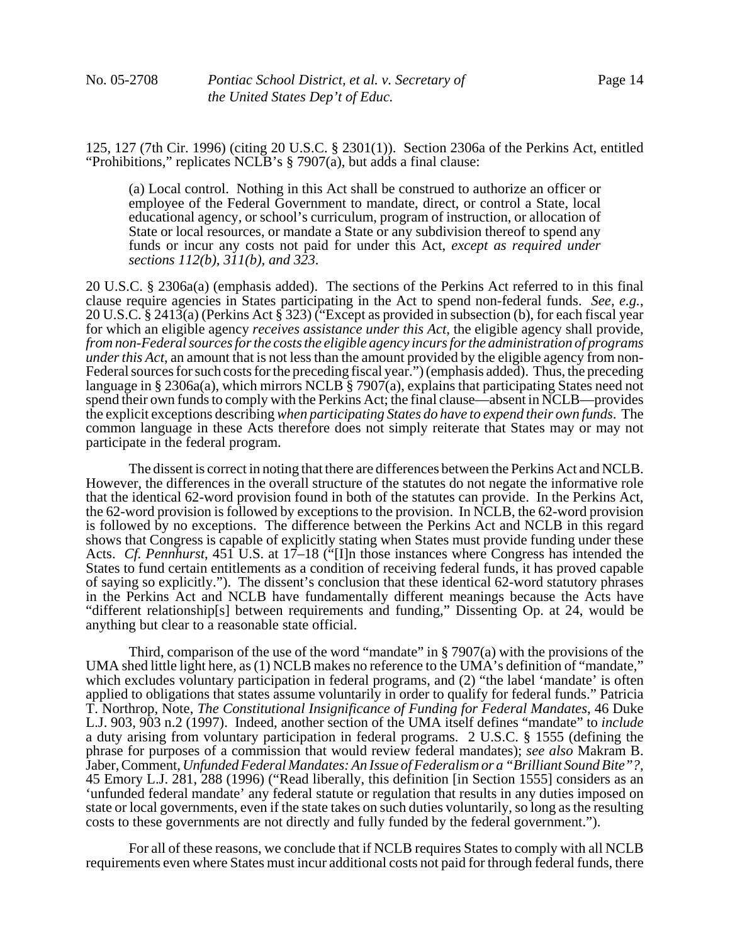125, 127 (7th Cir. 1996) (citing 20 U.S.C. § 2301(1)). Section 2306a of the Perkins Act, entitled "Prohibitions," replicates NCLB's § 7907(a), but adds a final clause:

(a) Local control. Nothing in this Act shall be construed to authorize an officer or employee of the Federal Government to mandate, direct, or control a State, local educational agency, or school's curriculum, program of instruction, or allocation of State or local resources, or mandate a State or any subdivision thereof to spend any funds or incur any costs not paid for under this Act, *except as required under sections 112(b), 311(b), and 323*.

20 U.S.C. § 2306a(a) (emphasis added). The sections of the Perkins Act referred to in this final clause require agencies in States participating in the Act to spend non-federal funds. See, e.g., 20 U.S.C. § 2413(a) (Perkins Act § 323) ("Except as provided in subsection (b), for each fiscal year for which an eligible agency *receives assistance under this Act*, the eligible agency shall provide, *from non-Federal sources for the costs the eligible agency incurs for the administration of programs under this Act*, an amount that is not less than the amount provided by the eligible agency from non-Federal sources for such costs for the preceding fiscal year.") (emphasis added). Thus, the preceding language in § 2306a(a), which mirrors NCLB § 7907(a), explains that participating States need not spend their own funds to comply with the Perkins Act; the final clause—absent in NCLB—provides the explicit exceptions describing *when participating States do have to expend their own funds*. The common language in these Acts therefore does not simply reiterate that States may or may not participate in the federal program.

The dissent is correct in noting that there are differences between the Perkins Act and NCLB. However, the differences in the overall structure of the statutes do not negate the informative role that the identical 62-word provision found in both of the statutes can provide. In the Perkins Act, the 62-word provision is followed by exceptions to the provision. In NCLB, the 62-word provision is followed by no exceptions. The difference between the Perkins Act and NCLB in this regard shows that Congress is capable of explicitly stating when States must provide funding under these Acts. *Cf. Pennhurst*, 451 U.S. at 17–18 ("[I]n those instances where Congress has intended the States to fund certain entitlements as a condition of receiving federal funds, it has proved capable of saying so explicitly."). The dissent's conclusion that these identical 62-word statutory phrases in the Perkins Act and NCLB have fundamentally different meanings because the Acts have "different relationship[s] between requirements and funding," Dissenting Op. at 24, would be anything but clear to a reasonable state official.

Third, comparison of the use of the word "mandate" in  $\S$  7907(a) with the provisions of the UMA shed little light here, as (1) NCLB makes no reference to the UMA's definition of "mandate," which excludes voluntary participation in federal programs, and (2) "the label 'mandate' is often applied to obligations that states assume voluntarily in order to qualify for federal funds." Patricia T. Northrop, Note, *The Constitutional Insignificance of Funding for Federal Mandates*, 46 Duke L.J. 903, 903 n.2 (1997). Indeed, another section of the UMA itself defines "mandate" to *include* a duty arising from voluntary participation in federal programs. 2 U.S.C. § 1555 (defining the phrase for purposes of a commission that would review federal mandates); *see also* Makram B. Jaber, Comment, *Unfunded Federal Mandates: An Issue of Federalism or a "Brilliant Sound Bite"?*, 45 Emory L.J. 281, 288 (1996) ("Read liberally, this definition [in Section 1555] considers as an 'unfunded federal mandate' any federal statute or regulation that results in any duties imposed on state or local governments, even if the state takes on such duties voluntarily, so long as the resulting costs to these governments are not directly and fully funded by the federal government.").

For all of these reasons, we conclude that if NCLB requires States to comply with all NCLB requirements even where States must incur additional costs not paid for through federal funds, there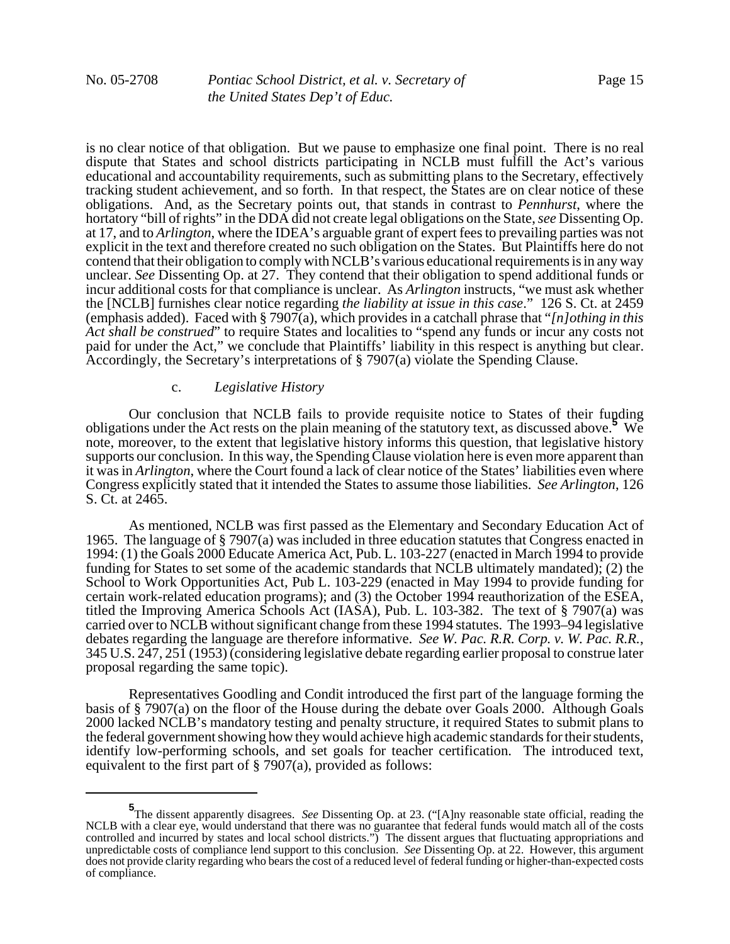is no clear notice of that obligation. But we pause to emphasize one final point. There is no real dispute that States and school districts participating in NCLB must fulfill the Act's various educational and accountability requirements, such as submitting plans to the Secretary, effectively tracking student achievement, and so forth. In that respect, the States are on clear notice of these obligations. And, as the Secretary points out, that stands in contrast to *Pennhurst*, where the hortatory "bill of rights" in the DDA did not create legal obligations on the State, *see* Dissenting Op. at 17, and to *Arlington*, where the IDEA's arguable grant of expert fees to prevailing parties was not explicit in the text and therefore created no such obligation on the States. But Plaintiffs here do not contend that their obligation to comply with NCLB's various educational requirements is in any way unclear. *See* Dissenting Op. at 27. They contend that their obligation to spend additional funds or incur additional costs for that compliance is unclear. As *Arlington* instructs, "we must ask whether the [NCLB] furnishes clear notice regarding *the liability at issue in this case*." 126 S. Ct. at 2459 (emphasis added). Faced with § 7907(a), which provides in a catchall phrase that "*[n]othing in this Act shall be construed*" to require States and localities to "spend any funds or incur any costs not paid for under the Act," we conclude that Plaintiffs' liability in this respect is anything but clear. Accordingly, the Secretary's interpretations of § 7907(a) violate the Spending Clause.

# c. *Legislative History*

Our conclusion that NCLB fails to provide requisite notice to States of their funding obligations under the Act rests on the plain meaning of the statutory text, as discussed above.**<sup>5</sup>** We note, moreover, to the extent that legislative history informs this question, that legislative history supports our conclusion. In this way, the Spending Clause violation here is even more apparent than it was in *Arlington*, where the Court found a lack of clear notice of the States' liabilities even where Congress explicitly stated that it intended the States to assume those liabilities. *See Arlington*, 126 S. Ct. at 2465.

As mentioned, NCLB was first passed as the Elementary and Secondary Education Act of 1965. The language of § 7907(a) was included in three education statutes that Congress enacted in 1994: (1) the Goals 2000 Educate America Act, Pub. L. 103-227 (enacted in March 1994 to provide funding for States to set some of the academic standards that NCLB ultimately mandated); (2) the School to Work Opportunities Act, Pub L. 103-229 (enacted in May 1994 to provide funding for certain work-related education programs); and (3) the October 1994 reauthorization of the ESEA, titled the Improving America Schools Act (IASA), Pub. L. 103-382. The text of § 7907(a) was carried over to NCLB without significant change from these 1994 statutes. The 1993–94 legislative debates regarding the language are therefore informative. *See W. Pac. R.R. Corp. v. W. Pac. R.R.*, 345 U.S. 247, 251 (1953) (considering legislative debate regarding earlier proposal to construe later proposal regarding the same topic).

Representatives Goodling and Condit introduced the first part of the language forming the basis of § 7907(a) on the floor of the House during the debate over Goals 2000. Although Goals 2000 lacked NCLB's mandatory testing and penalty structure, it required States to submit plans to the federal government showing how they would achieve high academic standards for their students, identify low-performing schools, and set goals for teacher certification. The introduced text, equivalent to the first part of § 7907(a), provided as follows:

**<sup>5</sup>** The dissent apparently disagrees. *See* Dissenting Op. at 23. ("[A]ny reasonable state official, reading the NCLB with a clear eye, would understand that there was no guarantee that federal funds would match all of the costs controlled and incurred by states and local school districts.") The dissent argues that fluctuating appropriations and unpredictable costs of compliance lend support to this conclusion. *See* Dissenting Op. at 22. However, this argument does not provide clarity regarding who bears the cost of a reduced level of federal funding or higher-than-expected costs of compliance.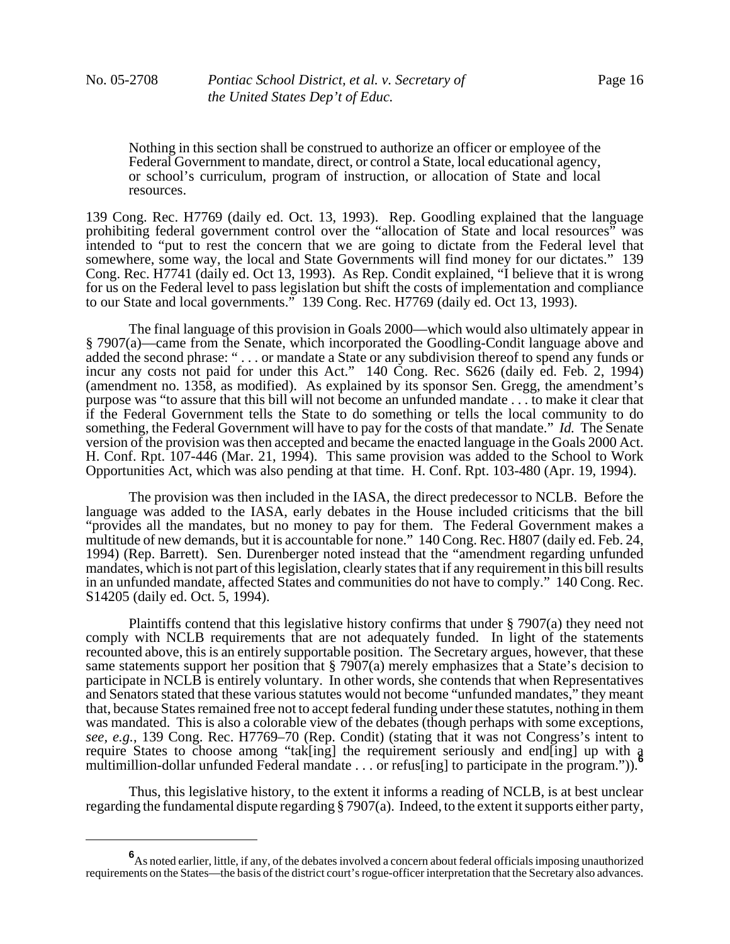Nothing in this section shall be construed to authorize an officer or employee of the Federal Government to mandate, direct, or control a State, local educational agency, or school's curriculum, program of instruction, or allocation of State and local resources.

139 Cong. Rec. H7769 (daily ed. Oct. 13, 1993). Rep. Goodling explained that the language prohibiting federal government control over the "allocation of State and local resources" was intended to "put to rest the concern that we are going to dictate from the Federal level that somewhere, some way, the local and State Governments will find money for our dictates." 139 Cong. Rec. H7741 (daily ed. Oct 13, 1993). As Rep. Condit explained, "I believe that it is wrong for us on the Federal level to pass legislation but shift the costs of implementation and compliance to our State and local governments." 139 Cong. Rec. H7769 (daily ed. Oct 13, 1993).

The final language of this provision in Goals 2000—which would also ultimately appear in § 7907(a)—came from the Senate, which incorporated the Goodling-Condit language above and added the second phrase: " . . . or mandate a State or any subdivision thereof to spend any funds or incur any costs not paid for under this Act." 140 Cong. Rec. S626 (daily ed. Feb. 2, 1994) (amendment no. 1358, as modified). As explained by its sponsor Sen. Gregg, the amendment's purpose was "to assure that this bill will not become an unfunded mandate . . . to make it clear that if the Federal Government tells the State to do something or tells the local community to do something, the Federal Government will have to pay for the costs of that mandate." *Id.* The Senate version of the provision was then accepted and became the enacted language in the Goals 2000 Act. H. Conf. Rpt. 107-446 (Mar. 21, 1994). This same provision was added to the School to Work Opportunities Act, which was also pending at that time. H. Conf. Rpt. 103-480 (Apr. 19, 1994).

The provision was then included in the IASA, the direct predecessor to NCLB. Before the language was added to the IASA, early debates in the House included criticisms that the bill "provides all the mandates, but no money to pay for them. The Federal Government makes a multitude of new demands, but it is accountable for none." 140 Cong. Rec. H807 (daily ed. Feb. 24, 1994) (Rep. Barrett). Sen. Durenberger noted instead that the "amendment regarding unfunded mandates, which is not part of this legislation, clearly states that if any requirement in this bill results in an unfunded mandate, affected States and communities do not have to comply." 140 Cong. Rec. S14205 (daily ed. Oct. 5, 1994).

Plaintiffs contend that this legislative history confirms that under § 7907(a) they need not comply with NCLB requirements that are not adequately funded. In light of the statements recounted above, this is an entirely supportable position. The Secretary argues, however, that these same statements support her position that § 7907(a) merely emphasizes that a State's decision to participate in NCLB is entirely voluntary. In other words, she contends that when Representatives and Senators stated that these various statutes would not become "unfunded mandates," they meant that, because States remained free not to accept federal funding under these statutes, nothing in them was mandated. This is also a colorable view of the debates (though perhaps with some exceptions, *see, e.g.*, 139 Cong. Rec. H7769–70 (Rep. Condit) (stating that it was not Congress's intent to require States to choose among "tak[ing] the requirement seriously and end[ing] up with a multimillion-dollar unfunded Federal mandate . . . or refus[ing] to participate in the program.")).<sup>*'*</sup>

Thus, this legislative history, to the extent it informs a reading of NCLB, is at best unclear regarding the fundamental dispute regarding § 7907(a). Indeed, to the extent it supports either party,

**<sup>6</sup>** As noted earlier, little, if any, of the debates involved a concern about federal officials imposing unauthorized requirements on the States—the basis of the district court's rogue-officer interpretation that the Secretary also advances.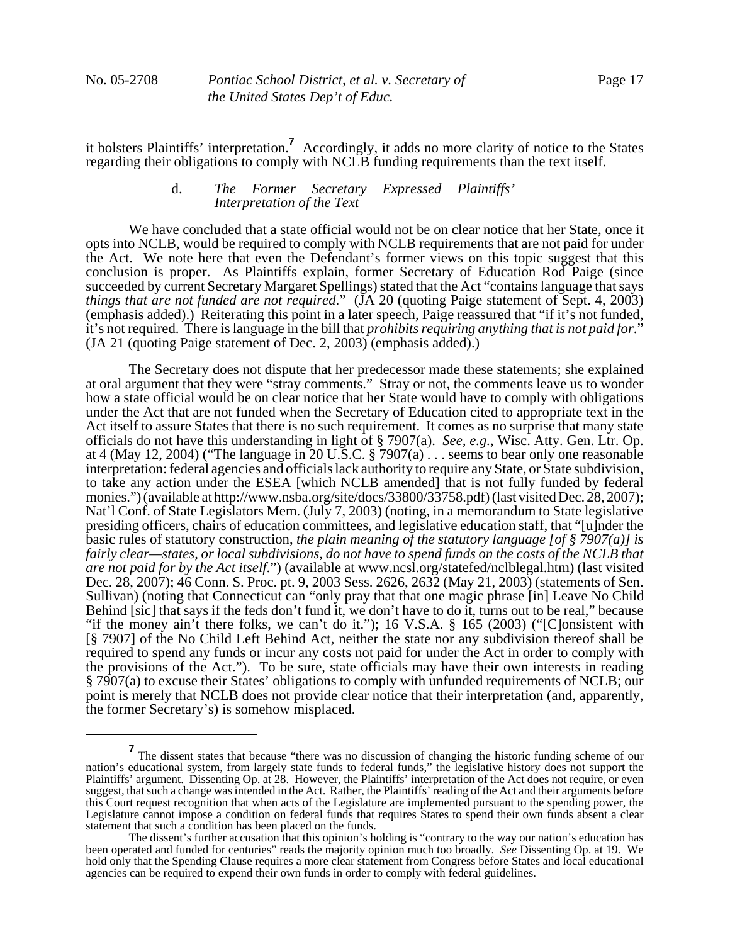it bolsters Plaintiffs' interpretation.**<sup>7</sup>** Accordingly, it adds no more clarity of notice to the States regarding their obligations to comply with NCLB funding requirements than the text itself.

# d. *The Former Secretary Expressed Plaintiffs' Interpretation of the Text*

We have concluded that a state official would not be on clear notice that her State, once it opts into NCLB, would be required to comply with NCLB requirements that are not paid for under the Act. We note here that even the Defendant's former views on this topic suggest that this conclusion is proper. As Plaintiffs explain, former Secretary of Education Rod Paige (since succeeded by current Secretary Margaret Spellings) stated that the Act "contains language that says *things that are not funded are not required*." (JA 20 (quoting Paige statement of Sept. 4, 2003) (emphasis added).) Reiterating this point in a later speech, Paige reassured that "if it's not funded, it's not required. There is language in the bill that *prohibits requiring anything that is not paid for*." (JA 21 (quoting Paige statement of Dec. 2, 2003) (emphasis added).)

The Secretary does not dispute that her predecessor made these statements; she explained at oral argument that they were "stray comments." Stray or not, the comments leave us to wonder how a state official would be on clear notice that her State would have to comply with obligations under the Act that are not funded when the Secretary of Education cited to appropriate text in the Act itself to assure States that there is no such requirement. It comes as no surprise that many state officials do not have this understanding in light of § 7907(a). *See, e.g.*, Wisc. Atty. Gen. Ltr. Op. at 4 (May 12, 2004) ("The language in 20 U.S.C. § 7907(a) . . . seems to bear only one reasonable interpretation: federal agencies and officials lack authority to require any State, or State subdivision, to take any action under the ESEA [which NCLB amended] that is not fully funded by federal monies.") (available at http://www.nsba.org/site/docs/33800/33758.pdf) (last visited Dec. 28, 2007); Nat'l Conf. of State Legislators Mem. (July 7, 2003) (noting, in a memorandum to State legislative presiding officers, chairs of education committees, and legislative education staff, that "[u]nder the basic rules of statutory construction, *the plain meaning of the statutory language [of § 7907(a)] is fairly clear—states, or local subdivisions, do not have to spend funds on the costs of the NCLB that are not paid for by the Act itself*.") (available at www.ncsl.org/statefed/nclblegal.htm) (last visited Dec. 28, 2007); 46 Conn. S. Proc. pt. 9, 2003 Sess. 2626, 2632 (May 21, 2003) (statements of Sen. Sullivan) (noting that Connecticut can "only pray that that one magic phrase [in] Leave No Child Behind [sic] that says if the feds don't fund it, we don't have to do it, turns out to be real," because "if the money ain't there folks, we can't do it."); 16 V.S.A. § 165 (2003) ("[C]onsistent with [§ 7907] of the No Child Left Behind Act, neither the state nor any subdivision thereof shall be required to spend any funds or incur any costs not paid for under the Act in order to comply with the provisions of the Act.").To be sure, state officials may have their own interests in reading § 7907(a) to excuse their States' obligations to comply with unfunded requirements of NCLB; our point is merely that NCLB does not provide clear notice that their interpretation (and, apparently, the former Secretary's) is somehow misplaced.

**<sup>7</sup>** The dissent states that because "there was no discussion of changing the historic funding scheme of our nation's educational system, from largely state funds to federal funds," the legislative history does not support the Plaintiffs' argument. Dissenting Op. at 28. However, the Plaintiffs' interpretation of the Act does not require, or even suggest, that such a change was intended in the Act. Rather, the Plaintiffs' reading of the Act and their arguments before this Court request recognition that when acts of the Legislature are implemented pursuant to the spending power, the Legislature cannot impose a condition on federal funds that requires States to spend their own funds absent a clear statement that such a condition has been placed on the funds.

The dissent's further accusation that this opinion's holding is "contrary to the way our nation's education has been operated and funded for centuries" reads the majority opinion much too broadly. *See* Dissenting Op. at 19. We hold only that the Spending Clause requires a more clear statement from Congress before States and local educational agencies can be required to expend their own funds in order to comply with federal guidelines.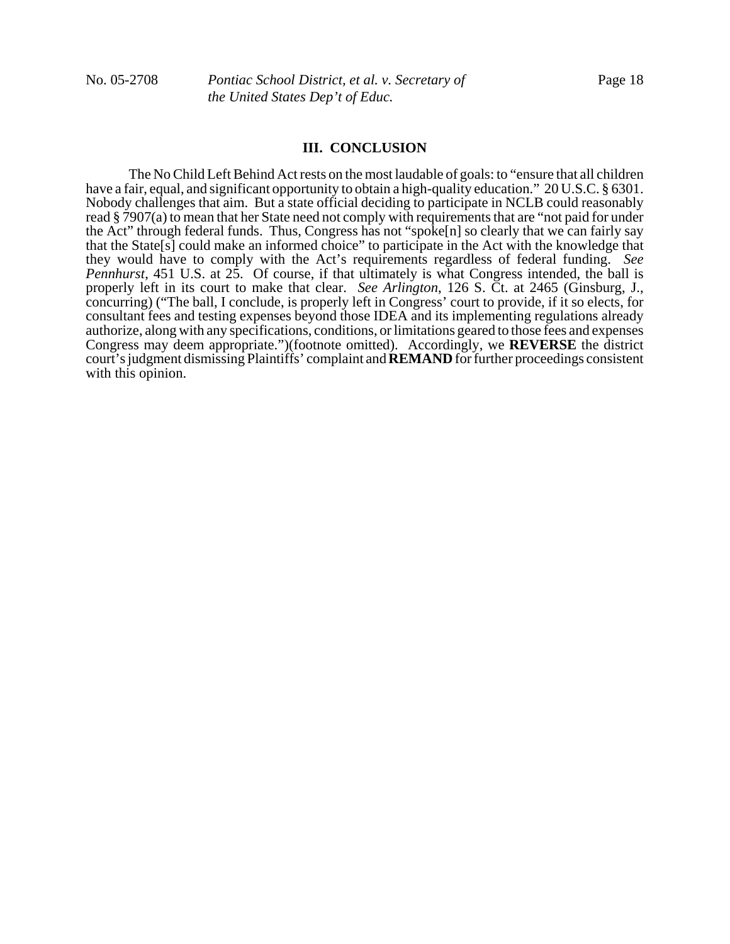#### **III. CONCLUSION**

The No Child Left Behind Act rests on the most laudable of goals: to "ensure that all children have a fair, equal, and significant opportunity to obtain a high-quality education." 20 U.S.C. § 6301. Nobody challenges that aim. But a state official deciding to participate in NCLB could reasonably read § 7907(a) to mean that her State need not comply with requirements that are "not paid for under the Act" through federal funds. Thus, Congress has not "spoke[n] so clearly that we can fairly say that the State[s] could make an informed choice" to participate in the Act with the knowledge that they would have to comply with the Act's requirements regardless of federal funding. *See Pennhurst*, 451 U.S. at 25. Of course, if that ultimately is what Congress intended, the ball is properly left in its court to make that clear. *See Arlington*, 126 S. Ct. at 2465 (Ginsburg, J., concurring) ("The ball, I conclude, is properly left in Congress' court to provide, if it so elects, for consultant fees and testing expenses beyond those IDEA and its implementing regulations already authorize, along with any specifications, conditions, or limitations geared to those fees and expenses Congress may deem appropriate.")(footnote omitted). Accordingly, we **REVERSE** the district court's judgment dismissing Plaintiffs' complaint and **REMAND** for further proceedings consistent with this opinion.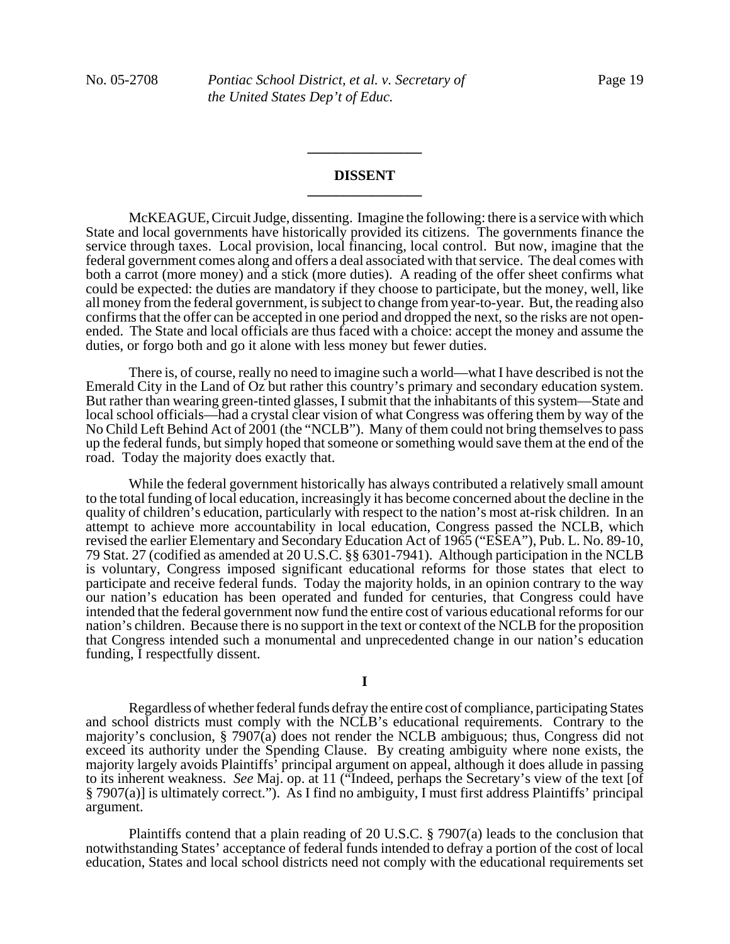### **DISSENT \_\_\_\_\_\_\_\_\_\_\_\_\_\_\_\_**

**\_\_\_\_\_\_\_\_\_\_\_\_\_\_\_\_**

McKEAGUE, Circuit Judge, dissenting. Imagine the following: there is a service with which State and local governments have historically provided its citizens. The governments finance the service through taxes. Local provision, local financing, local control. But now, imagine that the federal government comes along and offers a deal associated with that service. The deal comes with both a carrot (more money) and a stick (more duties). A reading of the offer sheet confirms what could be expected: the duties are mandatory if they choose to participate, but the money, well, like all money from the federal government, is subject to change from year-to-year. But, the reading also confirms that the offer can be accepted in one period and dropped the next, so the risks are not openended. The State and local officials are thus faced with a choice: accept the money and assume the duties, or forgo both and go it alone with less money but fewer duties.

There is, of course, really no need to imagine such a world—what I have described is not the Emerald City in the Land of Oz but rather this country's primary and secondary education system. But rather than wearing green-tinted glasses, I submit that the inhabitants of this system—State and local school officials—had a crystal clear vision of what Congress was offering them by way of the No Child Left Behind Act of 2001 (the "NCLB"). Many of them could not bring themselves to pass up the federal funds, but simply hoped that someone or something would save them at the end of the road. Today the majority does exactly that.

While the federal government historically has always contributed a relatively small amount to the total funding of local education, increasingly it has become concerned about the decline in the quality of children's education, particularly with respect to the nation's most at-risk children. In an attempt to achieve more accountability in local education, Congress passed the NCLB, which revised the earlier Elementary and Secondary Education Act of 1965 ("ESEA"), Pub. L. No. 89-10, 79 Stat. 27 (codified as amended at 20 U.S.C. §§ 6301-7941). Although participation in the NCLB is voluntary, Congress imposed significant educational reforms for those states that elect to participate and receive federal funds. Today the majority holds, in an opinion contrary to the way our nation's education has been operated and funded for centuries, that Congress could have intended that the federal government now fund the entire cost of various educational reforms for our nation's children. Because there is no support in the text or context of the NCLB for the proposition that Congress intended such a monumental and unprecedented change in our nation's education funding, I respectfully dissent.

**I**

Regardless of whether federal funds defray the entire cost of compliance, participating States and school districts must comply with the NCLB's educational requirements. Contrary to the majority's conclusion, § 7907(a) does not render the NCLB ambiguous; thus, Congress did not exceed its authority under the Spending Clause. By creating ambiguity where none exists, the majority largely avoids Plaintiffs' principal argument on appeal, although it does allude in passing to its inherent weakness. *See* Maj. op. at 11 ("Indeed, perhaps the Secretary's view of the text [of § 7907(a)] is ultimately correct."). As I find no ambiguity, I must first address Plaintiffs' principal argument.

Plaintiffs contend that a plain reading of 20 U.S.C. § 7907(a) leads to the conclusion that notwithstanding States' acceptance of federal funds intended to defray a portion of the cost of local education, States and local school districts need not comply with the educational requirements set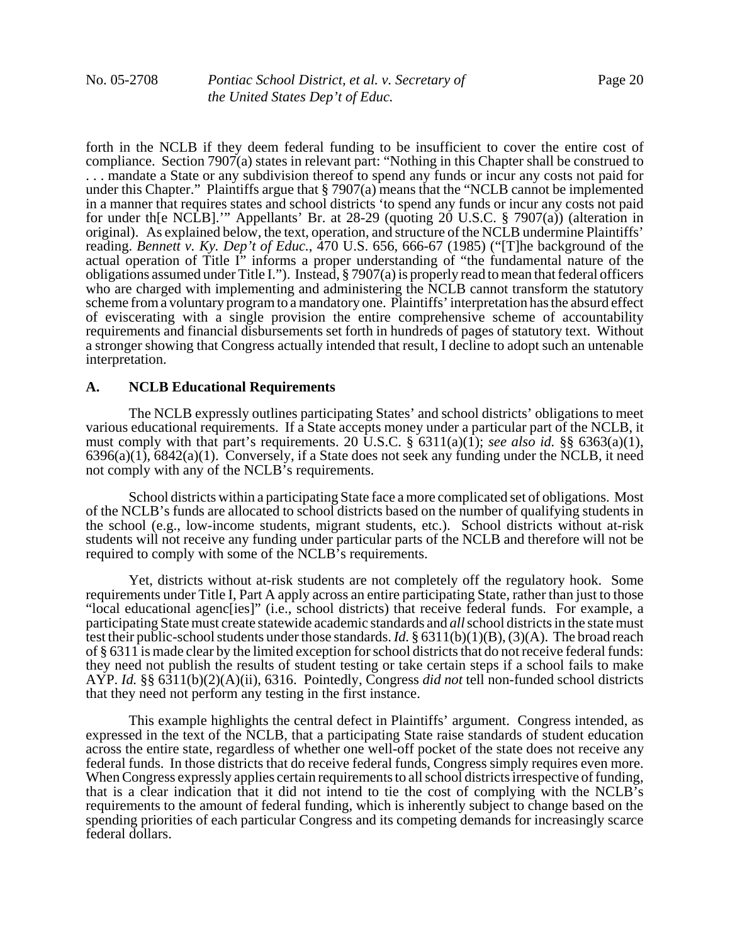forth in the NCLB if they deem federal funding to be insufficient to cover the entire cost of compliance. Section 7907(a) states in relevant part: "Nothing in this Chapter shall be construed to . . . mandate a State or any subdivision thereof to spend any funds or incur any costs not paid for under this Chapter." Plaintiffs argue that § 7907(a) means that the "NCLB cannot be implemented in a manner that requires states and school districts 'to spend any funds or incur any costs not paid for under th[e NCLB].'" Appellants' Br. at 28-29 (quoting 20 U.S.C. § 7907(a)) (alteration in original). As explained below, the text, operation, and structure of the NCLB undermine Plaintiffs' reading. *Bennett v. Ky. Dep't of Educ.*, 470 U.S. 656, 666-67 (1985) ("[T]he background of the actual operation of Title I" informs a proper understanding of "the fundamental nature of the obligations assumed under Title I."). Instead, § 7907(a) is properly read to mean that federal officers who are charged with implementing and administering the NCLB cannot transform the statutory scheme from a voluntary program to a mandatory one. Plaintiffs' interpretation has the absurd effect of eviscerating with a single provision the entire comprehensive scheme of accountability requirements and financial disbursements set forth in hundreds of pages of statutory text. Without a stronger showing that Congress actually intended that result, I decline to adopt such an untenable interpretation.

#### **A. NCLB Educational Requirements**

The NCLB expressly outlines participating States' and school districts' obligations to meet various educational requirements. If a State accepts money under a particular part of the NCLB, it must comply with that part's requirements. 20 U.S.C.  $\S$  6311(a)(1); *see also id.*  $\S$ § 6363(a)(1),  $6396(a)(1)$ ,  $6842(a)(1)$ . Conversely, if a State does not seek any funding under the NCLB, it need not comply with any of the NCLB's requirements.

School districts within a participating State face a more complicated set of obligations. Most of the NCLB's funds are allocated to school districts based on the number of qualifying students in the school (e.g., low-income students, migrant students, etc.). School districts without at-risk students will not receive any funding under particular parts of the NCLB and therefore will not be required to comply with some of the NCLB's requirements.

Yet, districts without at-risk students are not completely off the regulatory hook. Some requirements under Title I, Part A apply across an entire participating State, rather than just to those "local educational agenc[ies]" (i.e., school districts) that receive federal funds. For example, a participating State must create statewide academic standards and *all* school districts in the state must test their public-school students under those standards. *Id.* § 6311(b)(1)(B), (3)(A). The broad reach of § 6311 is made clear by the limited exception for school districts that do not receive federal funds: they need not publish the results of student testing or take certain steps if a school fails to make AYP. *Id.* §§ 6311(b)(2)(A)(ii), 6316. Pointedly, Congress *did not* tell non-funded school districts that they need not perform any testing in the first instance.

This example highlights the central defect in Plaintiffs' argument. Congress intended, as expressed in the text of the NCLB, that a participating State raise standards of student education across the entire state, regardless of whether one well-off pocket of the state does not receive any federal funds. In those districts that do receive federal funds, Congress simply requires even more. When Congress expressly applies certain requirements to all school districts irrespective of funding, that is a clear indication that it did not intend to tie the cost of complying with the NCLB's requirements to the amount of federal funding, which is inherently subject to change based on the spending priorities of each particular Congress and its competing demands for increasingly scarce federal dollars.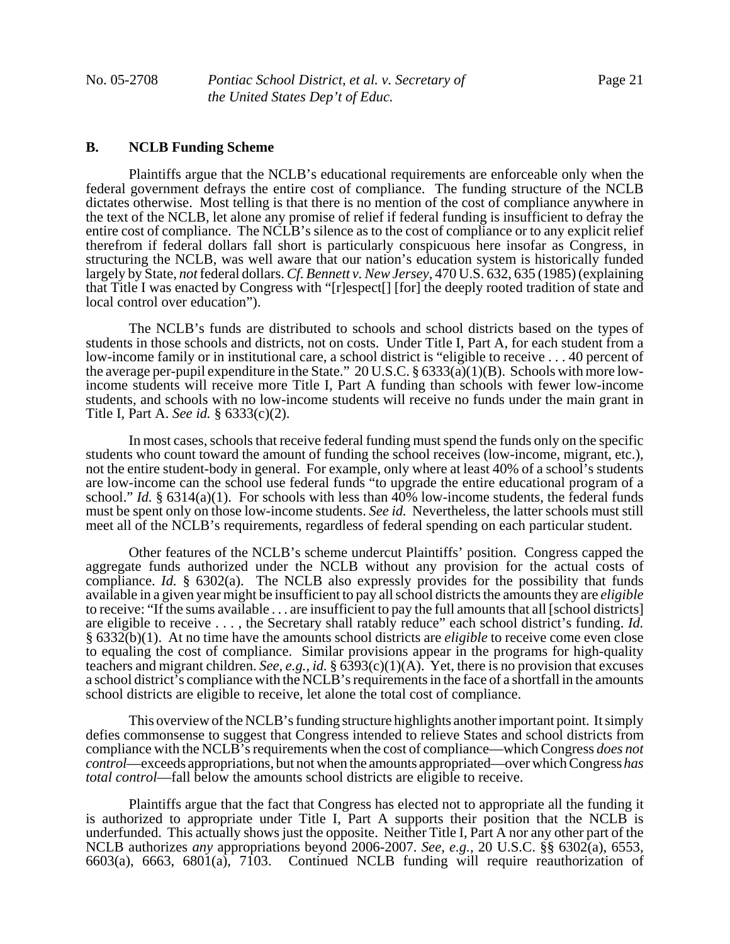# **B. NCLB Funding Scheme**

Plaintiffs argue that the NCLB's educational requirements are enforceable only when the federal government defrays the entire cost of compliance. The funding structure of the NCLB dictates otherwise. Most telling is that there is no mention of the cost of compliance anywhere in the text of the NCLB, let alone any promise of relief if federal funding is insufficient to defray the entire cost of compliance. The NCLB's silence as to the cost of compliance or to any explicit relief therefrom if federal dollars fall short is particularly conspicuous here insofar as Congress, in structuring the NCLB, was well aware that our nation's education system is historically funded largely by State, *not* federal dollars. *Cf. Bennett v. New Jersey*, 470 U.S. 632, 635 (1985) (explaining that Title I was enacted by Congress with "[r]espect[] [for] the deeply rooted tradition of state and local control over education").

 The NCLB's funds are distributed to schools and school districts based on the types of students in those schools and districts, not on costs. Under Title I, Part A, for each student from a low-income family or in institutional care, a school district is "eligible to receive . . . 40 percent of the average per-pupil expenditure in the State." 20 U.S.C. § 6333(a)(1)(B). Schools with more lowincome students will receive more Title I, Part A funding than schools with fewer low-income students, and schools with no low-income students will receive no funds under the main grant in Title I, Part A. *See id.* § 6333(c)(2).

In most cases, schools that receive federal funding must spend the funds only on the specific students who count toward the amount of funding the school receives (low-income, migrant, etc.), not the entire student-body in general. For example, only where at least 40% of a school's students are low-income can the school use federal funds "to upgrade the entire educational program of a school." *Id.* § 6314(a)(1). For schools with less than 40% low-income students, the federal funds must be spent only on those low-income students. *See id.* Nevertheless, the latter schools must still meet all of the NCLB's requirements, regardless of federal spending on each particular student.

 Other features of the NCLB's scheme undercut Plaintiffs' position. Congress capped the aggregate funds authorized under the NCLB without any provision for the actual costs of compliance. *Id.* § 6302(a). The NCLB also expressly provides for the possibility that funds available in a given year might be insufficient to pay all school districts the amounts they are *eligible* to receive: "If the sums available . . . are insufficient to pay the full amounts that all [school districts] are eligible to receive . . . , the Secretary shall ratably reduce" each school district's funding. *Id.* § 6332(b)(1). At no time have the amounts school districts are *eligible* to receive come even close to equaling the cost of compliance. Similar provisions appear in the programs for high-quality teachers and migrant children. *See, e.g.*, *id.* § 6393(c)(1)(A). Yet, there is no provision that excuses a school district's compliance with the NCLB's requirements in the face of a shortfall in the amounts school districts are eligible to receive, let alone the total cost of compliance.

This overview of the NCLB's funding structure highlights another important point. It simply defies commonsense to suggest that Congress intended to relieve States and school districts from compliance with the NCLB's requirements when the cost of compliance—which Congress *does not control*—exceeds appropriations, but not when the amounts appropriated—over which Congress *has total control*—fall below the amounts school districts are eligible to receive.

Plaintiffs argue that the fact that Congress has elected not to appropriate all the funding it is authorized to appropriate under Title I, Part A supports their position that the NCLB is underfunded. This actually shows just the opposite. Neither Title I, Part A nor any other part of the NCLB authorizes *any* appropriations beyond 2006-2007. *See, e.g.*, 20 U.S.C. §§ 6302(a), 6553, 6603(a), 6663, 6801(a), 7103. Continued NCLB funding will require reauthorization of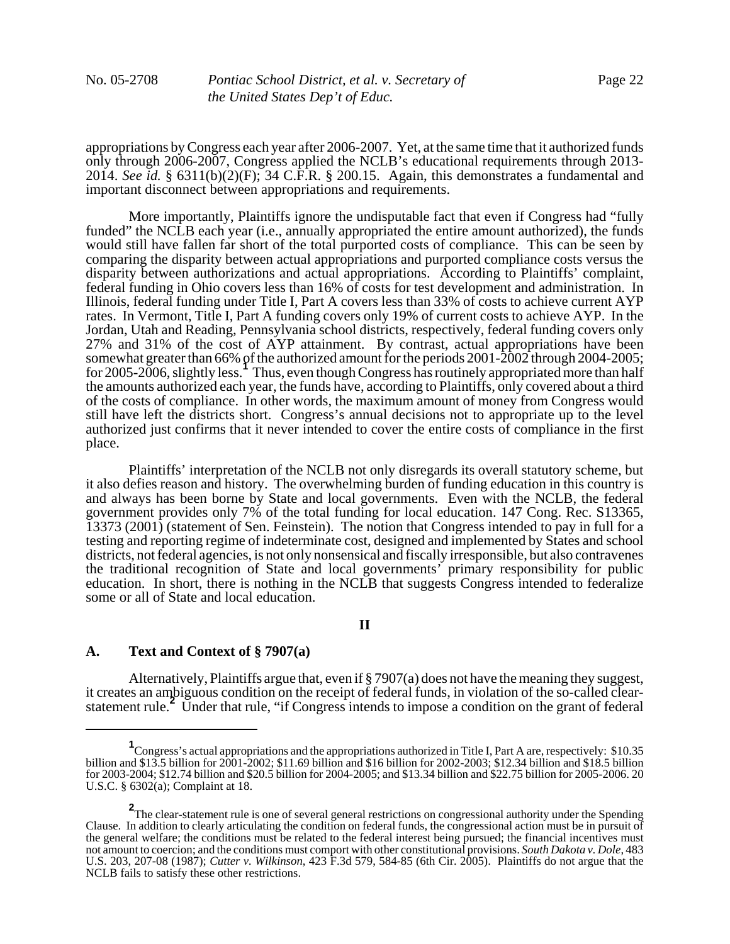appropriations by Congress each year after 2006-2007. Yet, at the same time that it authorized funds only through 2006-2007, Congress applied the NCLB's educational requirements through 2013- 2014. *See id.* § 6311(b)(2)(F); 34 C.F.R. § 200.15. Again, this demonstrates a fundamental and important disconnect between appropriations and requirements.

More importantly, Plaintiffs ignore the undisputable fact that even if Congress had "fully funded" the NCLB each year (i.e., annually appropriated the entire amount authorized), the funds would still have fallen far short of the total purported costs of compliance. This can be seen by comparing the disparity between actual appropriations and purported compliance costs versus the disparity between authorizations and actual appropriations. According to Plaintiffs' complaint, federal funding in Ohio covers less than 16% of costs for test development and administration. In Illinois, federal funding under Title I, Part A covers less than 33% of costs to achieve current AYP rates. In Vermont, Title I, Part A funding covers only 19% of current costs to achieve AYP. In the Jordan, Utah and Reading, Pennsylvania school districts, respectively, federal funding covers only 27% and 31% of the cost of AYP attainment. By contrast, actual appropriations have been somewhat greater than 66% of the authorized amount for the periods 2001-2002 through 2004-2005; for 2005-2006, slightly less.<sup>1</sup> Thus, even though Congress has routinely appropriated more than half the amounts authorized each year, the funds have, according to Plaintiffs, only covered about a third of the costs of compliance. In other words, the maximum amount of money from Congress would still have left the districts short. Congress's annual decisions not to appropriate up to the level authorized just confirms that it never intended to cover the entire costs of compliance in the first place.

Plaintiffs' interpretation of the NCLB not only disregards its overall statutory scheme, but it also defies reason and history. The overwhelming burden of funding education in this country is and always has been borne by State and local governments. Even with the NCLB, the federal government provides only 7% of the total funding for local education. 147 Cong. Rec. S13365, 13373 (2001) (statement of Sen. Feinstein). The notion that Congress intended to pay in full for a testing and reporting regime of indeterminate cost, designed and implemented by States and school districts, not federal agencies, is not only nonsensical and fiscally irresponsible, but also contravenes the traditional recognition of State and local governments' primary responsibility for public education. In short, there is nothing in the NCLB that suggests Congress intended to federalize some or all of State and local education.

# **II**

### **A. Text and Context of § 7907(a)**

Alternatively, Plaintiffs argue that, even if § 7907(a) does not have the meaning they suggest, it creates an ambiguous condition on the receipt of federal funds, in violation of the so-called clearstatement rule.**<sup>2</sup>** Under that rule, "if Congress intends to impose a condition on the grant of federal

<sup>&</sup>lt;sup>1</sup> Congress's actual appropriations and the appropriations authorized in Title I, Part A are, respectively: \$10.35 billion and \$13.5 billion for 2001-2002; \$11.69 billion and \$16 billion for 2002-2003; \$12.34 billion and \$18.5 billion for 2003-2004; \$12.74 billion and \$20.5 billion for 2004-2005; and \$13.34 billion and \$22.75 billion for 2005-2006. 20 U.S.C. § 6302(a); Complaint at 18.

**<sup>2</sup>**<br>The clear-statement rule is one of several general restrictions on congressional authority under the Spending Clause. In addition to clearly articulating the condition on federal funds, the congressional action must be in pursuit of the general welfare; the conditions must be related to the federal interest being pursued; the financial incentives must not amount to coercion; and the conditions must comport with other constitutional provisions. *South Dakota v. Dole*, 483 U.S. 203, 207-08 (1987); *Cutter v. Wilkinson*, 423 F.3d 579, 584-85 (6th Cir. 2005). Plaintiffs do not argue that the NCLB fails to satisfy these other restrictions.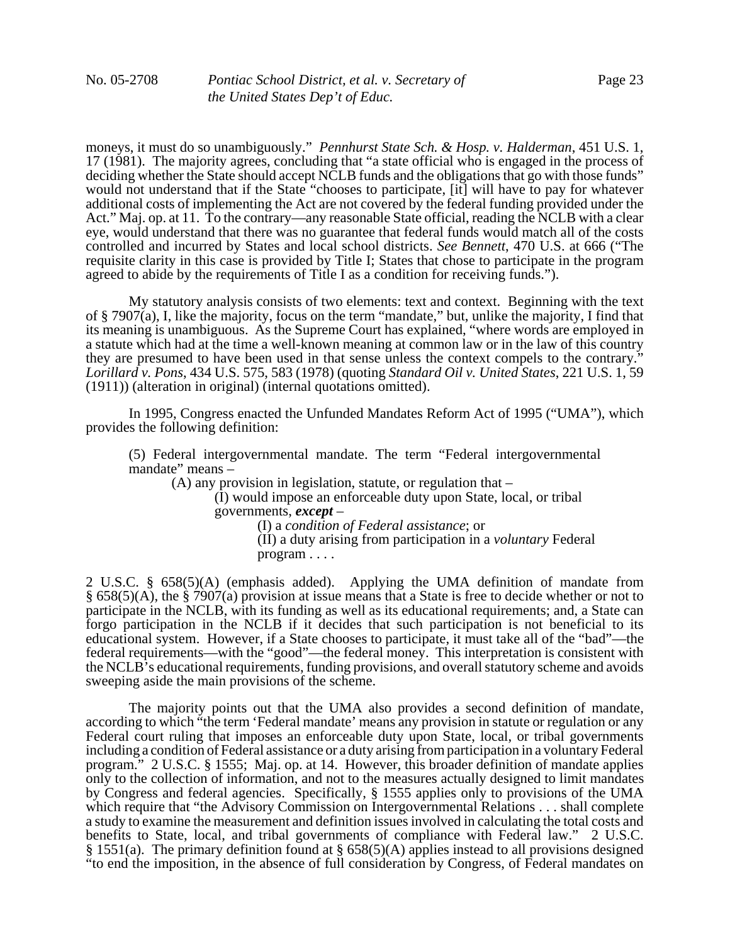moneys, it must do so unambiguously." *Pennhurst State Sch. & Hosp. v. Halderman*, 451 U.S. 1, 17 (1981). The majority agrees, concluding that "a state official who is engaged in the process of deciding whether the State should accept NCLB funds and the obligations that go with those funds" would not understand that if the State "chooses to participate, [it] will have to pay for whatever additional costs of implementing the Act are not covered by the federal funding provided under the Act." Maj. op. at 11. To the contrary—any reasonable State official, reading the NCLB with a clear eye, would understand that there was no guarantee that federal funds would match all of the costs controlled and incurred by States and local school districts. *See Bennett*, 470 U.S. at 666 ("The requisite clarity in this case is provided by Title I; States that chose to participate in the program agreed to abide by the requirements of Title I as a condition for receiving funds.").

My statutory analysis consists of two elements: text and context. Beginning with the text of § 7907(a), I, like the majority, focus on the term "mandate," but, unlike the majority, I find that its meaning is unambiguous. As the Supreme Court has explained, "where words are employed in a statute which had at the time a well-known meaning at common law or in the law of this country they are presumed to have been used in that sense unless the context compels to the contrary." *Lorillard v. Pons*, 434 U.S. 575, 583 (1978) (quoting *Standard Oil v. United States*, 221 U.S. 1, 59 (1911)) (alteration in original) (internal quotations omitted).

In 1995, Congress enacted the Unfunded Mandates Reform Act of 1995 ("UMA"), which provides the following definition:

(5) Federal intergovernmental mandate. The term "Federal intergovernmental mandate" means –

(A) any provision in legislation, statute, or regulation that –

(I) would impose an enforceable duty upon State, local, or tribal governments, *except* – (I) a *condition of Federal assistance*; or

(II) a duty arising from participation in a *voluntary* Federal program . . . .

2 U.S.C. § 658(5)(A) (emphasis added). Applying the UMA definition of mandate from § 658(5)(A), the § 7907(a) provision at issue means that a State is free to decide whether or not to participate in the NCLB, with its funding as well as its educational requirements; and, a State can forgo participation in the NCLB if it decides that such participation is not beneficial to its educational system. However, if a State chooses to participate, it must take all of the "bad"—the federal requirements—with the "good"—the federal money. This interpretation is consistent with the NCLB's educational requirements, funding provisions, and overall statutory scheme and avoids sweeping aside the main provisions of the scheme.

The majority points out that the UMA also provides a second definition of mandate, according to which "the term 'Federal mandate' means any provision in statute or regulation or any Federal court ruling that imposes an enforceable duty upon State, local, or tribal governments including a condition of Federal assistance or a duty arising from participation in a voluntary Federal program." 2 U.S.C. § 1555; Maj. op. at 14. However, this broader definition of mandate applies only to the collection of information, and not to the measures actually designed to limit mandates by Congress and federal agencies. Specifically, § 1555 applies only to provisions of the UMA which require that "the Advisory Commission on Intergovernmental Relations . . . shall complete a study to examine the measurement and definition issues involved in calculating the total costs and benefits to State, local, and tribal governments of compliance with Federal law." 2 U.S.C. § 1551(a). The primary definition found at § 658(5)(A) applies instead to all provisions designed "to end the imposition, in the absence of full consideration by Congress, of Federal mandates on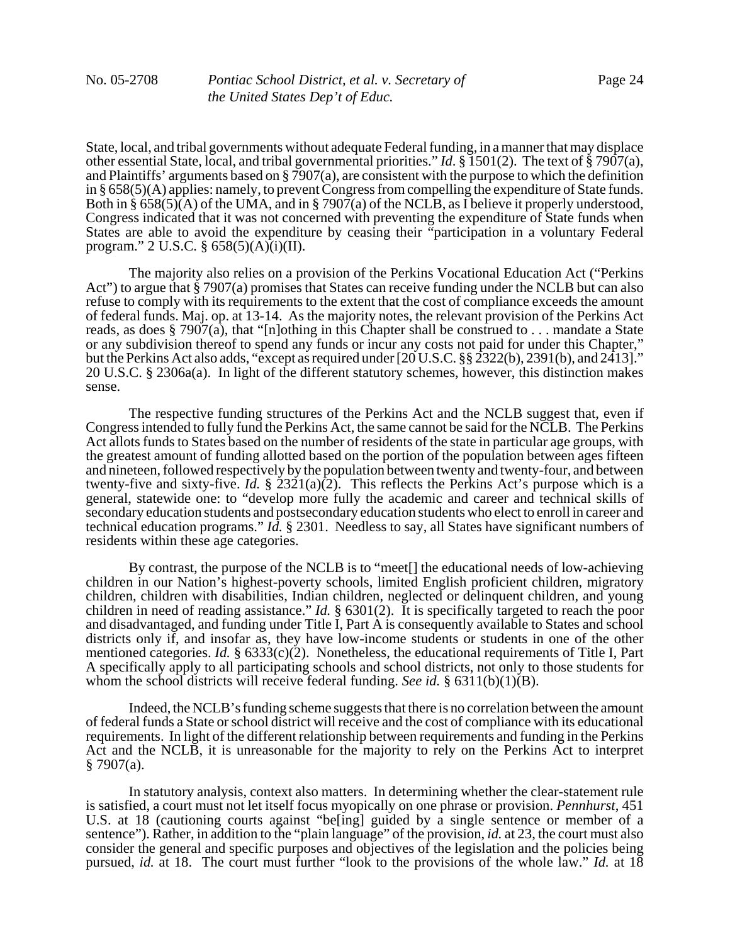State, local, and tribal governments without adequate Federal funding, in a manner that may displace other essential State, local, and tribal governmental priorities." *Id*. § 1501(2). The text of § 7907(a), and Plaintiffs' arguments based on § 7907(a), are consistent with the purpose to which the definition in § 658(5)(A) applies: namely, to prevent Congress from compelling the expenditure of State funds. Both in § 658(5)(A) of the UMA, and in § 7907(a) of the NCLB, as I believe it properly understood, Congress indicated that it was not concerned with preventing the expenditure of State funds when States are able to avoid the expenditure by ceasing their "participation in a voluntary Federal program." 2 U.S.C.  $\S 658(5)(A)(i)(II)$ .

The majority also relies on a provision of the Perkins Vocational Education Act ("Perkins Act") to argue that § 7907(a) promises that States can receive funding under the NCLB but can also refuse to comply with its requirements to the extent that the cost of compliance exceeds the amount of federal funds. Maj. op. at 13-14. As the majority notes, the relevant provision of the Perkins Act reads, as does  $\S$  7907(a), that "[n]othing in this Chapter shall be construed to . . . mandate a State or any subdivision thereof to spend any funds or incur any costs not paid for under this Chapter," but the Perkins Act also adds, "except as required under [20 U.S.C. §§ 2322(b), 2391(b), and 2413]." 20 U.S.C. § 2306a(a). In light of the different statutory schemes, however, this distinction makes sense.

The respective funding structures of the Perkins Act and the NCLB suggest that, even if Congress intended to fully fund the Perkins Act, the same cannot be said for the NCLB. The Perkins Act allots funds to States based on the number of residents of the state in particular age groups, with the greatest amount of funding allotted based on the portion of the population between ages fifteen and nineteen, followed respectively by the population between twenty and twenty-four, and between twenty-five and sixty-five. *Id.*  $\S$   $2321(a)(2)$ . This reflects the Perkins Act's purpose which is a general, statewide one: to "develop more fully the academic and career and technical skills of secondary education students and postsecondary education students who elect to enroll in career and technical education programs." *Id.* § 2301. Needless to say, all States have significant numbers of residents within these age categories.

By contrast, the purpose of the NCLB is to "meet[] the educational needs of low-achieving children in our Nation's highest-poverty schools, limited English proficient children, migratory children, children with disabilities, Indian children, neglected or delinquent children, and young children in need of reading assistance." *Id.* § 6301(2). It is specifically targeted to reach the poor and disadvantaged, and funding under Title I, Part A is consequently available to States and school districts only if, and insofar as, they have low-income students or students in one of the other mentioned categories. *Id.* § 6333(c)(2). Nonetheless, the educational requirements of Title I, Part A specifically apply to all participating schools and school districts, not only to those students for whom the school districts will receive federal funding. *See id.* § 6311(b)(1)(B).

Indeed, the NCLB's funding scheme suggests that there is no correlation between the amount of federal funds a State or school district will receive and the cost of compliance with its educational requirements. In light of the different relationship between requirements and funding in the Perkins Act and the NCLB, it is unreasonable for the majority to rely on the Perkins Act to interpret  $§ 7907(a).$ 

In statutory analysis, context also matters. In determining whether the clear-statement rule is satisfied, a court must not let itself focus myopically on one phrase or provision. *Pennhurst*, 451 U.S. at 18 (cautioning courts against "be[ing] guided by a single sentence or member of a sentence"). Rather, in addition to the "plain language" of the provision, *id.* at 23, the court must also consider the general and specific purposes and objectives of the legislation and the policies being pursued, *id.* at 18. The court must further "look to the provisions of the whole law." *Id.* at 18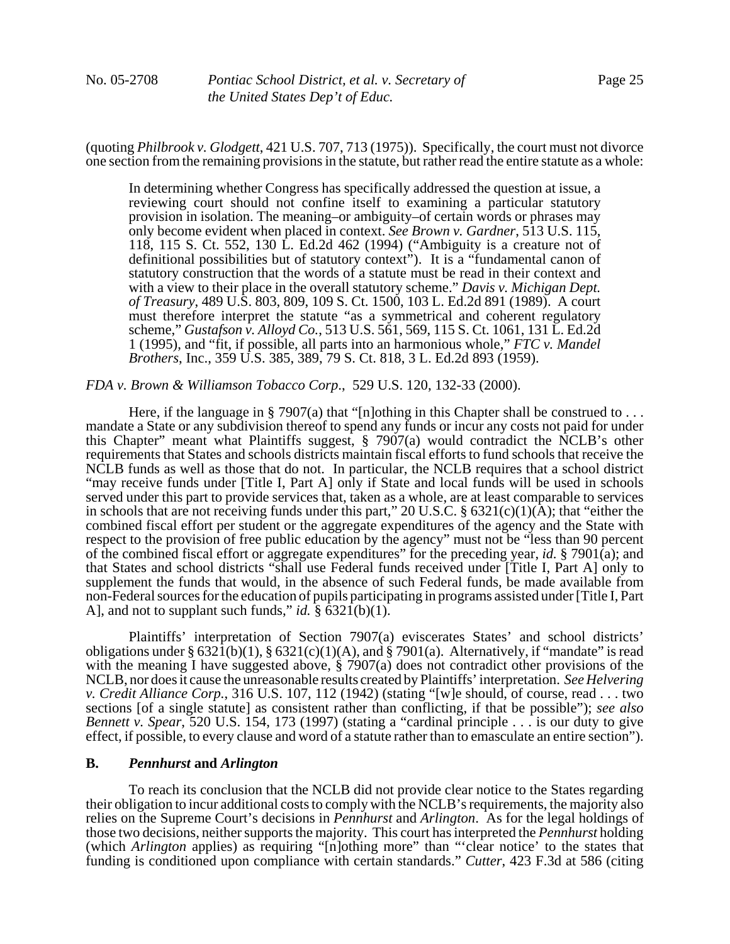(quoting *Philbrook v. Glodgett*, 421 U.S. 707, 713 (1975)). Specifically, the court must not divorce one section from the remaining provisions in the statute, but rather read the entire statute as a whole:

In determining whether Congress has specifically addressed the question at issue, a reviewing court should not confine itself to examining a particular statutory provision in isolation. The meaning–or ambiguity–of certain words or phrases may only become evident when placed in context. *See Brown v. Gardner*, 513 U.S. 115, 118, 115 S. Ct. 552, 130 L. Ed.2d 462 (1994) ("Ambiguity is a creature not of definitional possibilities but of statutory context"). It is a "fundamental canon of statutory construction that the words of a statute must be read in their context and with a view to their place in the overall statutory scheme." *Davis v. Michigan Dept. of Treasury*, 489 U.S. 803, 809, 109 S. Ct. 1500, 103 L. Ed.2d 891 (1989). A court must therefore interpret the statute "as a symmetrical and coherent regulatory scheme," *Gustafson v. Alloyd Co.*, 513 U.S. 561, 569, 115 S. Ct. 1061, 131 L. Ed.2d 1 (1995), and "fit, if possible, all parts into an harmonious whole," *FTC v. Mandel Brothers*, Inc., 359 U.S. 385, 389, 79 S. Ct. 818, 3 L. Ed.2d 893 (1959).

#### *FDA v. Brown & Williamson Tobacco Corp*., 529 U.S. 120, 132-33 (2000).

Here, if the language in § 7907(a) that "[n]othing in this Chapter shall be construed to . . . mandate a State or any subdivision thereof to spend any funds or incur any costs not paid for under this Chapter" meant what Plaintiffs suggest, § 7907(a) would contradict the NCLB's other requirements that States and schools districts maintain fiscal efforts to fund schools that receive the NCLB funds as well as those that do not. In particular, the NCLB requires that a school district "may receive funds under [Title I, Part A] only if State and local funds will be used in schools served under this part to provide services that, taken as a whole, are at least comparable to services in schools that are not receiving funds under this part," 20 U.S.C. §  $6321(c)(1)(A)$ ; that "either the combined fiscal effort per student or the aggregate expenditures of the agency and the State with respect to the provision of free public education by the agency" must not be "less than 90 percent of the combined fiscal effort or aggregate expenditures" for the preceding year, *id.* § 7901(a); and that States and school districts "shall use Federal funds received under [Title I, Part A] only to supplement the funds that would, in the absence of such Federal funds, be made available from non-Federal sources for the education of pupils participating in programs assisted under [Title I, Part A], and not to supplant such funds," *id.*  $\frac{8}{3}$   $\frac{6321}{(b)(1)}$ .

Plaintiffs' interpretation of Section 7907(a) eviscerates States' and school districts' obligations under §  $632\overline{1}$ (b)(1), §  $6321$ (c)(1)(A), and § 7901(a). Alternatively, if "mandate" is read with the meaning I have suggested above, § 7907(a) does not contradict other provisions of the NCLB, nor does it cause the unreasonable results created by Plaintiffs' interpretation. *See Helvering v. Credit Alliance Corp.*, 316 U.S. 107, 112 (1942) (stating "[w]e should, of course, read . . . two sections [of a single statute] as consistent rather than conflicting, if that be possible"); *see also Bennett v. Spear*, 520 U.S. 154, 173 (1997) (stating a "cardinal principle . . . is our duty to give effect, if possible, to every clause and word of a statute rather than to emasculate an entire section").

# **B.** *Pennhurst* **and** *Arlington*

To reach its conclusion that the NCLB did not provide clear notice to the States regarding their obligation to incur additional costs to comply with the NCLB's requirements, the majority also relies on the Supreme Court's decisions in *Pennhurst* and *Arlington*. As for the legal holdings of those two decisions, neither supports the majority. This court has interpreted the *Pennhurst* holding (which *Arlington* applies) as requiring "[n]othing more" than "'clear notice' to the states that funding is conditioned upon compliance with certain standards." *Cutter*, 423 F.3d at 586 (citing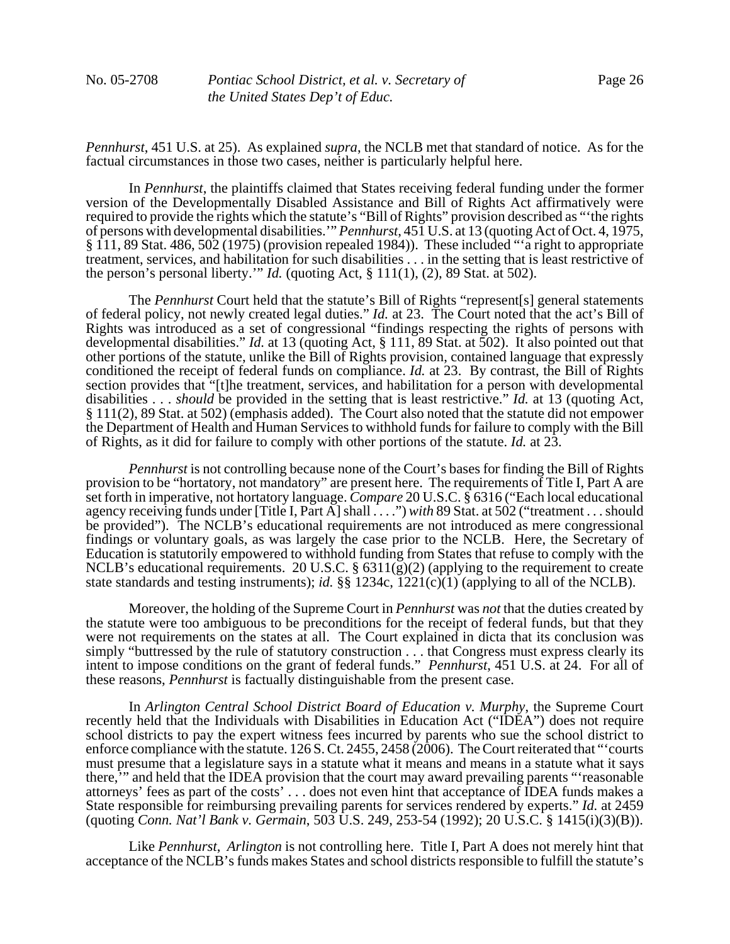*Pennhurst*, 451 U.S. at 25). As explained *supra*, the NCLB met that standard of notice. As for the factual circumstances in those two cases, neither is particularly helpful here.

In *Pennhurst*, the plaintiffs claimed that States receiving federal funding under the former version of the Developmentally Disabled Assistance and Bill of Rights Act affirmatively were required to provide the rights which the statute's "Bill of Rights" provision described as "'the rights of persons with developmental disabilities.'" *Pennhurst*, 451 U.S. at 13 (quoting Act of Oct. 4, 1975, § 111, 89 Stat. 486, 502 (1975) (provision repealed 1984)). These included "'a right to appropriate treatment, services, and habilitation for such disabilities . . . in the setting that is least restrictive of the person's personal liberty.'" *Id.* (quoting Act,  $\S$  111(1), (2), 89 Stat. at 502).

The *Pennhurst* Court held that the statute's Bill of Rights "represent[s] general statements of federal policy, not newly created legal duties." *Id.* at 23. The Court noted that the act's Bill of Rights was introduced as a set of congressional "findings respecting the rights of persons with developmental disabilities." *Id.* at 13 (quoting Act, § 111, 89 Stat. at 502). It also pointed out that other portions of the statute, unlike the Bill of Rights provision, contained language that expressly conditioned the receipt of federal funds on compliance. *Id.* at 23. By contrast, the Bill of Rights section provides that "[t]he treatment, services, and habilitation for a person with developmental disabilities . . . *should* be provided in the setting that is least restrictive." *Id.* at 13 (quoting Act, § 111(2), 89 Stat. at 502) (emphasis added). The Court also noted that the statute did not empower the Department of Health and Human Services to withhold funds for failure to comply with the Bill of Rights, as it did for failure to comply with other portions of the statute. *Id.* at 23.

*Pennhurst* is not controlling because none of the Court's bases for finding the Bill of Rights provision to be "hortatory, not mandatory" are present here. The requirements of Title I, Part A are set forth in imperative, not hortatory language. *Compare* 20 U.S.C. § 6316 ("Each local educational agency receiving funds under [Title I, Part A] shall . . . .") *with* 89 Stat. at 502 ("treatment . . . should be provided"). The NCLB's educational requirements are not introduced as mere congressional findings or voluntary goals, as was largely the case prior to the NCLB. Here, the Secretary of Education is statutorily empowered to withhold funding from States that refuse to comply with the NCLB's educational requirements. 20 U.S.C. § 6311(g)(2) (applying to the requirement to create state standards and testing instruments); *id.* §§ 1234c, 1221(c)(1) (applying to all of the NCLB).

Moreover, the holding of the Supreme Court in *Pennhurst* was *not* that the duties created by the statute were too ambiguous to be preconditions for the receipt of federal funds, but that they were not requirements on the states at all. The Court explained in dicta that its conclusion was simply "buttressed by the rule of statutory construction . . . that Congress must express clearly its intent to impose conditions on the grant of federal funds." *Pennhurst*, 451 U.S. at 24. For all of these reasons, *Pennhurst* is factually distinguishable from the present case.

In *Arlington Central School District Board of Education v. Murphy*, the Supreme Court recently held that the Individuals with Disabilities in Education Act ("IDEA") does not require school districts to pay the expert witness fees incurred by parents who sue the school district to enforce compliance with the statute. 126 S. Ct. 2455, 2458 (2006). The Court reiterated that "'courts must presume that a legislature says in a statute what it means and means in a statute what it says there,'" and held that the IDEA provision that the court may award prevailing parents "'reasonable attorneys' fees as part of the costs' . . . does not even hint that acceptance of IDEA funds makes a State responsible for reimbursing prevailing parents for services rendered by experts." *Id.* at 2459 (quoting *Conn. Nat'l Bank v. Germain*, 503 U.S. 249, 253-54 (1992); 20 U.S.C. § 1415(i)(3)(B)).

Like *Pennhurst*, *Arlington* is not controlling here. Title I, Part A does not merely hint that acceptance of the NCLB's funds makes States and school districts responsible to fulfill the statute's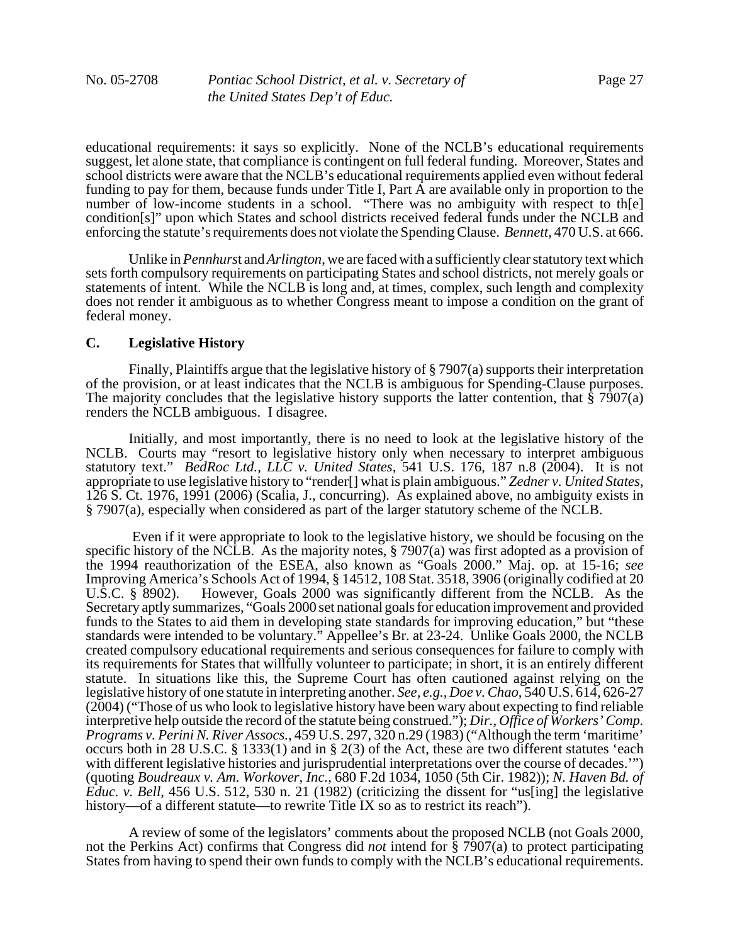educational requirements: it says so explicitly. None of the NCLB's educational requirements suggest, let alone state, that compliance is contingent on full federal funding. Moreover, States and school districts were aware that the NCLB's educational requirements applied even without federal funding to pay for them, because funds under Title I, Part A are available only in proportion to the number of low-income students in a school. "There was no ambiguity with respect to th[e] condition[s]" upon which States and school districts received federal funds under the NCLB and enforcing the statute's requirements does not violate the Spending Clause. *Bennett*, 470 U.S. at 666.

Unlike in *Pennhurs*t and *Arlington*, we are faced with a sufficiently clear statutory text which sets forth compulsory requirements on participating States and school districts, not merely goals or statements of intent. While the NCLB is long and, at times, complex, such length and complexity does not render it ambiguous as to whether Congress meant to impose a condition on the grant of federal money.

#### **C. Legislative History**

Finally, Plaintiffs argue that the legislative history of § 7907(a) supports their interpretation of the provision, or at least indicates that the NCLB is ambiguous for Spending-Clause purposes. The majority concludes that the legislative history supports the latter contention, that § 7907(a) renders the NCLB ambiguous. I disagree.

Initially, and most importantly, there is no need to look at the legislative history of the NCLB. Courts may "resort to legislative history only when necessary to interpret ambiguous statutory text." *BedRoc Ltd., LLC v. United States*, 541 U.S. 176, 187 n.8 (2004). It is not appropriate to use legislative history to "render[] what is plain ambiguous." *Zedner v. United States*, 126 S. Ct. 1976, 1991 (2006) (Scalia, J., concurring). As explained above, no ambiguity exists in § 7907(a), especially when considered as part of the larger statutory scheme of the NCLB.

 Even if it were appropriate to look to the legislative history, we should be focusing on the specific history of the NCLB. As the majority notes, § 7907(a) was first adopted as a provision of the 1994 reauthorization of the ESEA, also known as "Goals 2000." Maj. op. at 15-16; *see* Improving America's Schools Act of 1994, § 14512, 108 Stat. 3518, 3906 (originally codified at 20 U.S.C. § 8902). However, Goals 2000 was significantly different from the NCLB. As the Secretary aptly summarizes, "Goals 2000 set national goals for education improvement and provided funds to the States to aid them in developing state standards for improving education," but "these standards were intended to be voluntary." Appellee's Br. at 23-24. Unlike Goals 2000, the NCLB created compulsory educational requirements and serious consequences for failure to comply with its requirements for States that willfully volunteer to participate; in short, it is an entirely different statute. In situations like this, the Supreme Court has often cautioned against relying on the legislative history of one statute in interpreting another. *See, e.g.*, *Doe v. Chao*, 540 U.S. 614, 626-27 (2004) ("Those of us who look to legislative history have been wary about expecting to find reliable interpretive help outside the record of the statute being construed."); *Dir., Office of Workers' Comp. Programs v. Perini N. River Assocs.*, 459 U.S. 297, 320 n.29 (1983) ("Although the term 'maritime' occurs both in 28 U.S.C. § 1333(1) and in § 2(3) of the Act, these are two different statutes 'each with different legislative histories and jurisprudential interpretations over the course of decades.'") (quoting *Boudreaux v. Am. Workover, Inc.*, 680 F.2d 1034, 1050 (5th Cir. 1982)); *N. Haven Bd. of Educ. v. Bell*, 456 U.S. 512, 530 n. 21 (1982) (criticizing the dissent for "us[ing] the legislative history—of a different statute—to rewrite Title IX so as to restrict its reach").

A review of some of the legislators' comments about the proposed NCLB (not Goals 2000, not the Perkins Act) confirms that Congress did *not* intend for § 7907(a) to protect participating States from having to spend their own funds to comply with the NCLB's educational requirements.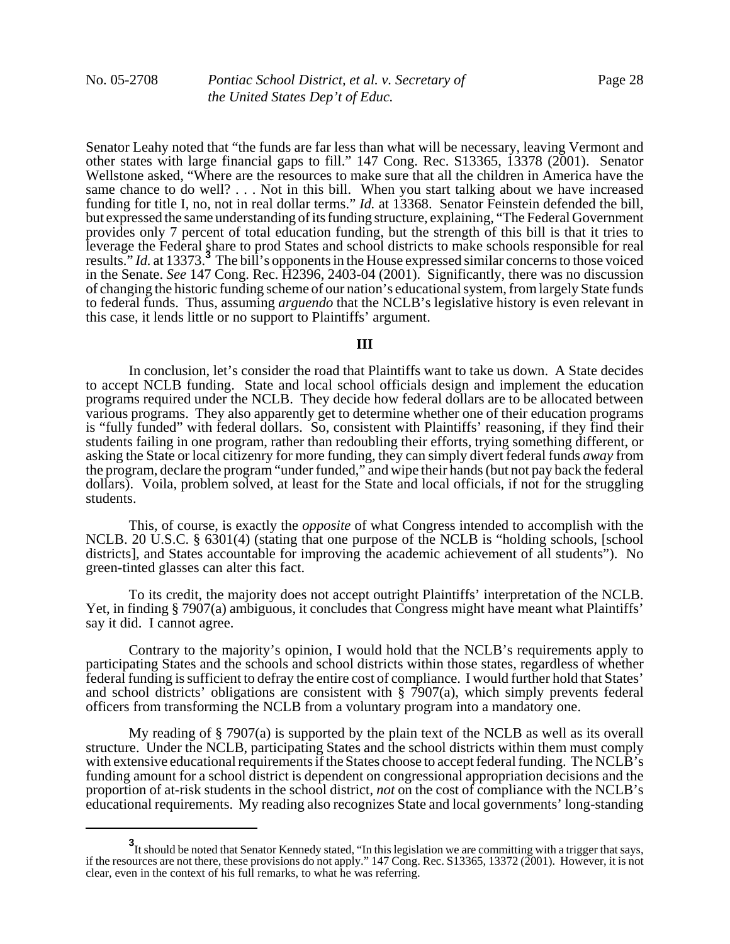Senator Leahy noted that "the funds are far less than what will be necessary, leaving Vermont and other states with large financial gaps to fill." 147 Cong. Rec. S13365, 13378 (2001). Senator Wellstone asked, "Where are the resources to make sure that all the children in America have the same chance to do well? . . . Not in this bill. When you start talking about we have increased funding for title I, no, not in real dollar terms." *Id.* at 13368. Senator Feinstein defended the bill, but expressed the same understanding of its funding structure, explaining, "The Federal Government provides only 7 percent of total education funding, but the strength of this bill is that it tries to leverage the Federal share to prod States and school districts to make schools responsible for real results." *Id.* at 13373.**<sup>3</sup>** The bill's opponents in the House expressed similar concerns to those voiced in the Senate. *See* 147 Cong. Rec. H2396, 2403-04 (2001). Significantly, there was no discussion of changing the historic funding scheme of our nation's educational system, from largely State funds to federal funds. Thus, assuming *arguendo* that the NCLB's legislative history is even relevant in this case, it lends little or no support to Plaintiffs' argument.

#### **III**

In conclusion, let's consider the road that Plaintiffs want to take us down. A State decides to accept NCLB funding. State and local school officials design and implement the education programs required under the NCLB. They decide how federal dollars are to be allocated between various programs. They also apparently get to determine whether one of their education programs is "fully funded" with federal dollars. So, consistent with Plaintiffs' reasoning, if they find their students failing in one program, rather than redoubling their efforts, trying something different, or asking the State or local citizenry for more funding, they can simply divert federal funds *away* from the program, declare the program "under funded," and wipe their hands (but not pay back the federal dollars). Voila, problem solved, at least for the State and local officials, if not for the struggling students.

This, of course, is exactly the *opposite* of what Congress intended to accomplish with the NCLB. 20 U.S.C. § 6301(4) (stating that one purpose of the NCLB is "holding schools, [school districts], and States accountable for improving the academic achievement of all students"). No green-tinted glasses can alter this fact.

To its credit, the majority does not accept outright Plaintiffs' interpretation of the NCLB. Yet, in finding § 7907(a) ambiguous, it concludes that Congress might have meant what Plaintiffs' say it did. I cannot agree.

Contrary to the majority's opinion, I would hold that the NCLB's requirements apply to participating States and the schools and school districts within those states, regardless of whether federal funding is sufficient to defray the entire cost of compliance. I would further hold that States' and school districts' obligations are consistent with § 7907(a), which simply prevents federal officers from transforming the NCLB from a voluntary program into a mandatory one.

My reading of § 7907(a) is supported by the plain text of the NCLB as well as its overall structure. Under the NCLB, participating States and the school districts within them must comply with extensive educational requirements if the States choose to accept federal funding. The NCLB's funding amount for a school district is dependent on congressional appropriation decisions and the proportion of at-risk students in the school district, *not* on the cost of compliance with the NCLB's educational requirements. My reading also recognizes State and local governments' long-standing

**<sup>3</sup>** It should be noted that Senator Kennedy stated, "In this legislation we are committing with a trigger that says, if the resources are not there, these provisions do not apply." 147 Cong. Rec. S13365, 13372 (2001). However, it is not clear, even in the context of his full remarks, to what he was referring.